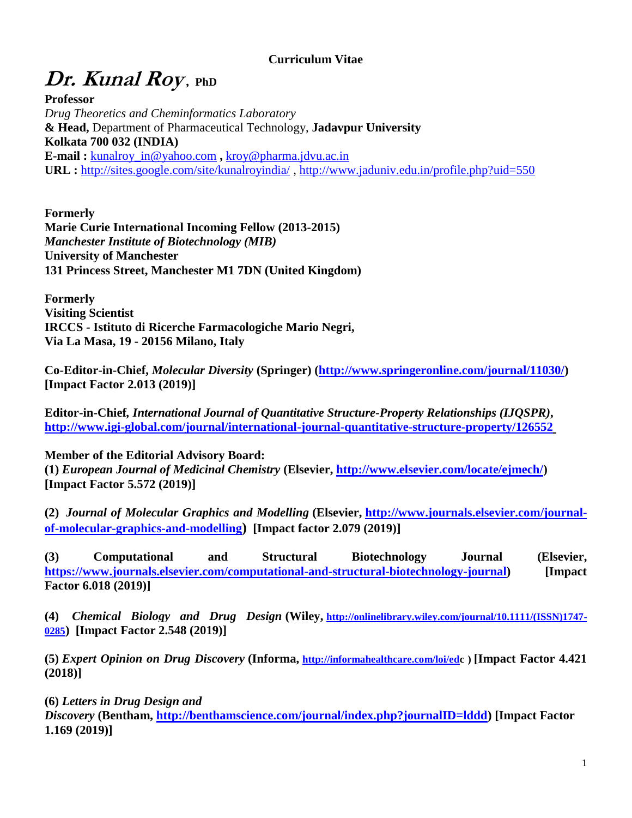### **Curriculum Vitae**

# **Dr. Kunal Roy , PhD**

**Professor** *Drug Theoretics and Cheminformatics Laboratory* **& Head,** Department of Pharmaceutical Technology, **Jadavpur University Kolkata 700 032 (INDIA) E-mail :** [kunalroy\\_in@yahoo.com](mailto:kunalroy_in@yahoo.com) **,** [kroy@pharma.jdvu.ac.in](mailto:kroy@pharma.jdvu.ac.in) **URL :** <http://sites.google.com/site/kunalroyindia/> ,<http://www.jaduniv.edu.in/profile.php?uid=550>

**Formerly Marie Curie International Incoming Fellow (2013-2015)** *Manchester Institute of Biotechnology (MIB)* **University of Manchester 131 Princess Street, Manchester M1 7DN (United Kingdom)**

**Formerly Visiting Scientist IRCCS - Istituto di Ricerche Farmacologiche Mario Negri, Via La Masa, 19 - 20156 Milano, Italy**

**Co-Editor-in-Chief,** *Molecular Diversity* **(Springer) [\(http://www.springeronline.com/journal/11030/\)](http://www.springeronline.com/journal/11030/) [Impact Factor 2.013 (2019)]**

**Editor-in-Chief***, International Journal of Quantitative Structure-Property Relationships (IJQSPR)***, <http://www.igi-global.com/journal/international-journal-quantitative-structure-property/126552>**

**Member of the Editorial Advisory Board:**

**(1)** *European Journal of Medicinal Chemistry* **(Elsevier, [http://www.elsevier.com/locate/ejmech/\)](http://www.elsevier.com/locate/ejmech/) [Impact Factor 5.572 (2019)]**

**(2)** *Journal of Molecular Graphics and Modelling* **(Elsevier, [http://www.journals.elsevier.com/journal](http://www.journals.elsevier.com/journal-of-molecular-graphics-and-modelling)[of-molecular-graphics-and-modelling](http://www.journals.elsevier.com/journal-of-molecular-graphics-and-modelling)) [Impact factor 2.079 (2019)]**

**(3) Computational and Structural Biotechnology Journal (Elsevier, [https://www.journals.elsevier.com/computational-and-structural-biotechnology-journal\)](https://www.journals.elsevier.com/computational-and-structural-biotechnology-journal) [Impact Factor 6.018 (2019)]** 

**(4)** *Chemical Biology and Drug Design* **(Wiley, [http://onlinelibrary.wiley.com/journal/10.1111/\(ISSN\)1747-](http://onlinelibrary.wiley.com/journal/10.1111/(ISSN)1747-0285) [0285](http://onlinelibrary.wiley.com/journal/10.1111/(ISSN)1747-0285)) [Impact Factor 2.548 (2019)]**

**(5)** *Expert Opinion on Drug Discovery* **(Informa, <http://informahealthcare.com/loi/edc> ) [Impact Factor 4.421 (2018)]**

**(6)** *Letters in Drug Design and* 

*Discovery* **(Bentham, [http://benthamscience.com/journal/index.php?journalID=lddd\)](http://benthamscience.com/journal/index.php?journalID=lddd) [Impact Factor 1.169 (2019)]**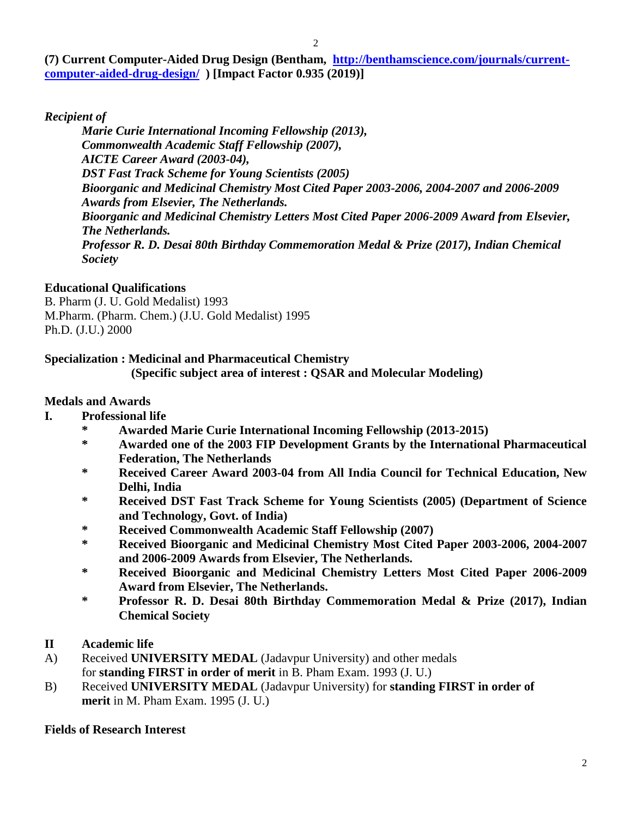**(7) Current Computer-Aided Drug Design (Bentham, [http://benthamscience.com/journals/current](http://benthamscience.com/journals/current-computer-aided-drug-design/)[computer-aided-drug-design/](http://benthamscience.com/journals/current-computer-aided-drug-design/) ) [Impact Factor 0.935 (2019)]**

*Recipient of* 

*Marie Curie International Incoming Fellowship (2013), Commonwealth Academic Staff Fellowship (2007), AICTE Career Award (2003-04), DST Fast Track Scheme for Young Scientists (2005) Bioorganic and Medicinal Chemistry Most Cited Paper 2003-2006, 2004-2007 and 2006-2009 Awards from Elsevier, The Netherlands. Bioorganic and Medicinal Chemistry Letters Most Cited Paper 2006-2009 Award from Elsevier, The Netherlands. Professor R. D. Desai 80th Birthday Commemoration Medal & Prize (2017), Indian Chemical Society*

### **Educational Qualifications**

B. Pharm (J. U. Gold Medalist) 1993 M.Pharm. (Pharm. Chem.) (J.U. Gold Medalist) 1995 Ph.D. (J.U.) 2000

### **Specialization : Medicinal and Pharmaceutical Chemistry**

 **(Specific subject area of interest : QSAR and Molecular Modeling)**

### **Medals and Awards**

- **I. Professional life**
	- **\* Awarded Marie Curie International Incoming Fellowship (2013-2015)**
	- **\* Awarded one of the 2003 FIP Development Grants by the International Pharmaceutical Federation, The Netherlands**
	- **\* Received Career Award 2003-04 from All India Council for Technical Education, New Delhi, India**
	- **\* Received DST Fast Track Scheme for Young Scientists (2005) (Department of Science and Technology, Govt. of India)**
	- **\* Received Commonwealth Academic Staff Fellowship (2007)**
	- **\* Received Bioorganic and Medicinal Chemistry Most Cited Paper 2003-2006, 2004-2007 and 2006-2009 Awards from Elsevier, The Netherlands.**
	- **\* Received Bioorganic and Medicinal Chemistry Letters Most Cited Paper 2006-2009 Award from Elsevier, The Netherlands.**
	- **\* Professor R. D. Desai 80th Birthday Commemoration Medal & Prize (2017), Indian Chemical Society**
- **II Academic life**
- A) Received **UNIVERSITY MEDAL** (Jadavpur University) and other medals for **standing FIRST in order of merit** in B. Pham Exam. 1993 (J. U.)
- B) Received **UNIVERSITY MEDAL** (Jadavpur University) for **standing FIRST in order of merit** in M. Pham Exam. 1995 (J. U.)

## **Fields of Research Interest**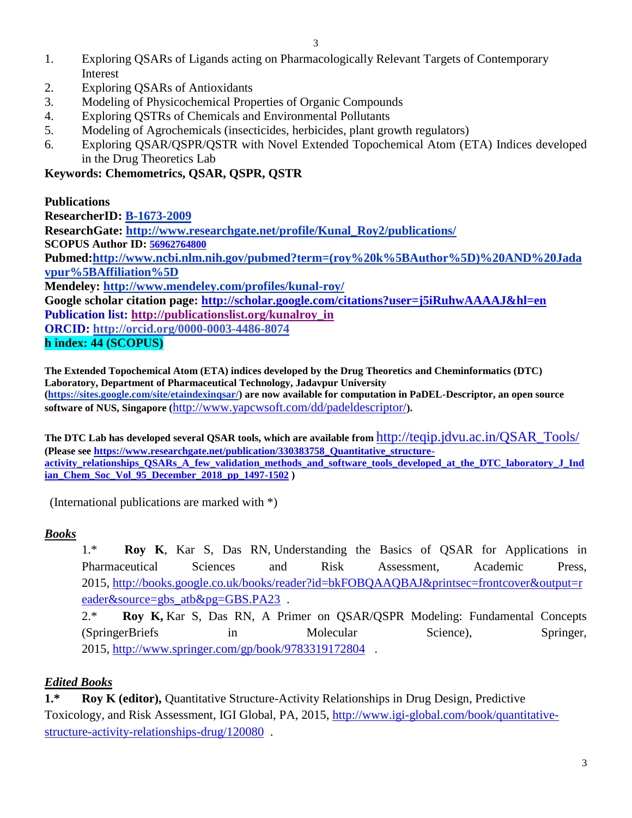- 1. Exploring QSARs of Ligands acting on Pharmacologically Relevant Targets of Contemporary Interest
- 2. Exploring QSARs of Antioxidants
- 3. Modeling of Physicochemical Properties of Organic Compounds
- 4. Exploring QSTRs of Chemicals and Environmental Pollutants
- 5. Modeling of Agrochemicals (insecticides, herbicides, plant growth regulators)
- 6. Exploring QSAR/QSPR/QSTR with Novel Extended Topochemical Atom (ETA) Indices developed in the Drug Theoretics Lab

**Keywords: Chemometrics, QSAR, QSPR, QSTR**

**Publications ResearcherID: [B-1673-2009](http://www.researcherid.com/rid/B-1673-2009) ResearchGate: [http://www.researchgate.net/profile/Kunal\\_Roy2/publications/](http://www.researchgate.net/profile/Kunal_Roy2/publications/) SCOPUS Author ID: [56962764800](http://www.scopus.com/authid/detail.url?authorId=56962764800)  Pubmed[:http://www.ncbi.nlm.nih.gov/pubmed?term=\(roy%20k%5BAuthor%5D\)%20AND%20Jada](http://www.ncbi.nlm.nih.gov/pubmed?term=(roy%20k%5BAuthor%5D)%20AND%20Jadavpur%5BAffiliation%5D) [vpur%5BAffiliation%5D](http://www.ncbi.nlm.nih.gov/pubmed?term=(roy%20k%5BAuthor%5D)%20AND%20Jadavpur%5BAffiliation%5D) Mendeley:<http://www.mendeley.com/profiles/kunal-roy/> Google scholar citation page:<http://scholar.google.com/citations?user=j5iRuhwAAAAJ&hl=en> Publication list: [http://publicationslist.org/kunalroy\\_in](http://publicationslist.org/kunalroy_in) ORCID:<http://orcid.org/0000-0003-4486-8074> h index: 44 (SCOPUS)**

**The Extended Topochemical Atom (ETA) indices developed by the Drug Theoretics and Cheminformatics (DTC) Laboratory, Department of Pharmaceutical Technology, Jadavpur University [\(https://sites.google.com/site/etaindexinqsar/\)](https://sites.google.com/site/etaindexinqsar/) are now available for computation in PaDEL-Descriptor, an open source software of NUS, Singapore (**<http://www.yapcwsoft.com/dd/padeldescriptor/>**).**

**The DTC Lab has developed several QSAR tools, which are available from** [http://teqip.jdvu.ac.in/QSAR\\_Tools/](http://teqip.jdvu.ac.in/QSAR_Tools/) **(Please see [https://www.researchgate.net/publication/330383758\\_Quantitative\\_structure](https://www.researchgate.net/publication/330383758_Quantitative_structure-activity_relationships_QSARs_A_few_validation_methods_and_software_tools_developed_at_the_DTC_laboratory_J_Indian_Chem_Soc_Vol_95_December_2018_pp_1497-1502)[activity\\_relationships\\_QSARs\\_A\\_few\\_validation\\_methods\\_and\\_software\\_tools\\_developed\\_at\\_the\\_DTC\\_laboratory\\_J\\_Ind](https://www.researchgate.net/publication/330383758_Quantitative_structure-activity_relationships_QSARs_A_few_validation_methods_and_software_tools_developed_at_the_DTC_laboratory_J_Indian_Chem_Soc_Vol_95_December_2018_pp_1497-1502) [ian\\_Chem\\_Soc\\_Vol\\_95\\_December\\_2018\\_pp\\_1497-1502](https://www.researchgate.net/publication/330383758_Quantitative_structure-activity_relationships_QSARs_A_few_validation_methods_and_software_tools_developed_at_the_DTC_laboratory_J_Indian_Chem_Soc_Vol_95_December_2018_pp_1497-1502) )**

(International publications are marked with \*)

## *Books*

1.\* **Roy K**, Kar S, Das RN, Understanding the Basics of QSAR for Applications in Pharmaceutical Sciences and Risk Assessment, Academic Press, 2015, [http://books.google.co.uk/books/reader?id=bkFOBQAAQBAJ&printsec=frontcover&output=r](http://books.google.co.uk/books/reader?id=bkFOBQAAQBAJ&printsec=frontcover&output=reader&source=gbs_atb&pg=GBS.PA23) [eader&source=gbs\\_atb&pg=GBS.PA23](http://books.google.co.uk/books/reader?id=bkFOBQAAQBAJ&printsec=frontcover&output=reader&source=gbs_atb&pg=GBS.PA23) .

2.\* **Roy K,** Kar S, Das RN, A Primer on QSAR/QSPR Modeling: Fundamental Concepts (SpringerBriefs in Molecular Science), Springer, 2015, <http://www.springer.com/gp/book/9783319172804> .

## *Edited Books*

**1.\* Roy K (editor),** Quantitative Structure-Activity Relationships in Drug Design, Predictive Toxicology, and Risk Assessment, IGI Global, PA, 2015, [http://www.igi-global.com/book/quantitative](http://www.igi-global.com/book/quantitative-structure-activity-relationships-drug/120080)[structure-activity-relationships-drug/120080](http://www.igi-global.com/book/quantitative-structure-activity-relationships-drug/120080) .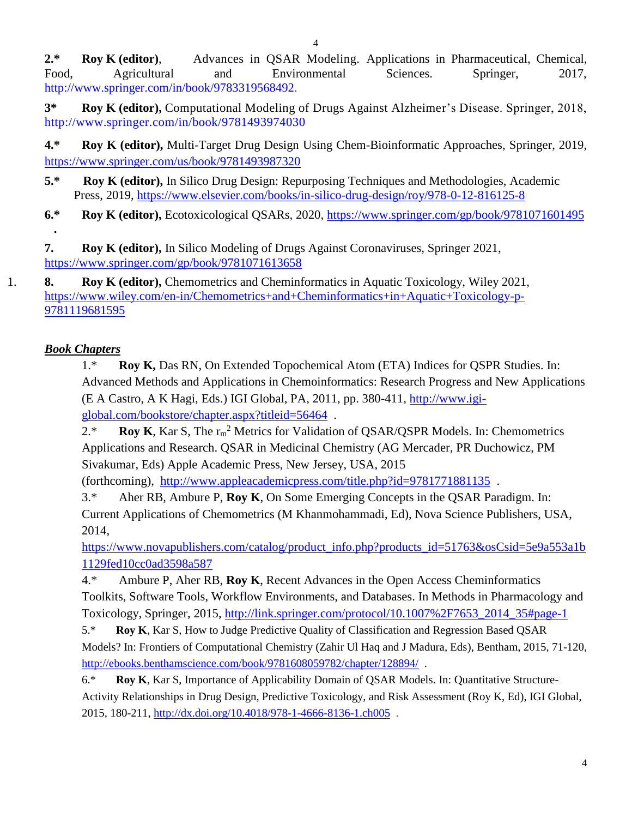**2.\* Roy K (editor)**, Advances in QSAR Modeling. Applications in Pharmaceutical, Chemical, Food, Agricultural and Environmental Sciences. Springer, 2017, [http://www.springer.com/in/book/9783319568492.](http://www.springer.com/in/book/9783319568492)

**3\* Roy K (editor),** Computational Modeling of Drugs Against Alzheimer's Disease. Springer, 2018, <http://www.springer.com/in/book/9781493974030>

**4.\* Roy K (editor),** Multi-Target Drug Design Using Chem-Bioinformatic Approaches, Springer, 2019, <https://www.springer.com/us/book/9781493987320>

- **5.\* Roy K (editor),** In Silico Drug Design: Repurposing Techniques and Methodologies, Academic Press, 2019,<https://www.elsevier.com/books/in-silico-drug-design/roy/978-0-12-816125-8>
- **6.\* Roy K (editor),** Ecotoxicological QSARs, 2020,<https://www.springer.com/gp/book/9781071601495> **.**

**7. Roy K (editor),** In Silico Modeling of Drugs Against Coronaviruses, Springer 2021, <https://www.springer.com/gp/book/9781071613658>

1. **8. Roy K (editor),** Chemometrics and Cheminformatics in Aquatic Toxicology, Wiley 2021, [https://www.wiley.com/en-in/Chemometrics+and+Cheminformatics+in+Aquatic+Toxicology-p-](https://www.wiley.com/en-in/Chemometrics+and+Cheminformatics+in+Aquatic+Toxicology-p-9781119681595)[9781119681595](https://www.wiley.com/en-in/Chemometrics+and+Cheminformatics+in+Aquatic+Toxicology-p-9781119681595)

## *Book Chapters*

1.\* **Roy K,** Das RN, On Extended Topochemical Atom (ETA) Indices for QSPR Studies. In: Advanced Methods and Applications in Chemoinformatics: Research Progress and New Applications (E A Castro, A K Hagi, Eds.) IGI Global, PA, 2011, pp. 380-411, [http://www.igi](http://www.igi-global.com/bookstore/chapter.aspx?titleid=56464)[global.com/bookstore/chapter.aspx?titleid=56464](http://www.igi-global.com/bookstore/chapter.aspx?titleid=56464) .

2.\* **Roy K**, Kar S, The  $r_m^2$  Metrics for Validation of QSAR/QSPR Models. In: Chemometrics Applications and Research. QSAR in Medicinal Chemistry (AG Mercader, PR Duchowicz, PM Sivakumar, Eds) Apple Academic Press, New Jersey, USA, 2015

(forthcoming), <http://www.appleacademicpress.com/title.php?id=9781771881135> .

3.\* Aher RB, Ambure P, **Roy K**, On Some Emerging Concepts in the QSAR Paradigm. In: Current Applications of Chemometrics (M Khanmohammadi, Ed), Nova Science Publishers, USA, 2014,

[https://www.novapublishers.com/catalog/product\\_info.php?products\\_id=51763&osCsid=5e9a553a1b](https://www.novapublishers.com/catalog/product_info.php?products_id=51763&osCsid=5e9a553a1b1129fed10cc0ad3598a587) [1129fed10cc0ad3598a587](https://www.novapublishers.com/catalog/product_info.php?products_id=51763&osCsid=5e9a553a1b1129fed10cc0ad3598a587) 

4.\* Ambure P, Aher RB, **Roy K**, Recent Advances in the Open Access Cheminformatics Toolkits, Software Tools, Workflow Environments, and Databases. In Methods in Pharmacology and Toxicology, Springer, 2015, [http://link.springer.com/protocol/10.1007%2F7653\\_2014\\_35#page-1](http://link.springer.com/protocol/10.1007%2F7653_2014_35#page-1) 

5.\* **Roy K**, Kar S, How to Judge Predictive Quality of Classification and Regression Based QSAR Models? In: Frontiers of Computational Chemistry (Zahir Ul Haq and J Madura, Eds), Bentham, 2015, 71-120, <http://ebooks.benthamscience.com/book/9781608059782/chapter/128894/> .

6.\* **Roy K**, Kar S, Importance of Applicability Domain of QSAR Models. In: Quantitative Structure-Activity Relationships in Drug Design, Predictive Toxicology, and Risk Assessment (Roy K, Ed), IGI Global, 2015, 180-211,<http://dx.doi.org/10.4018/978-1-4666-8136-1.ch005> .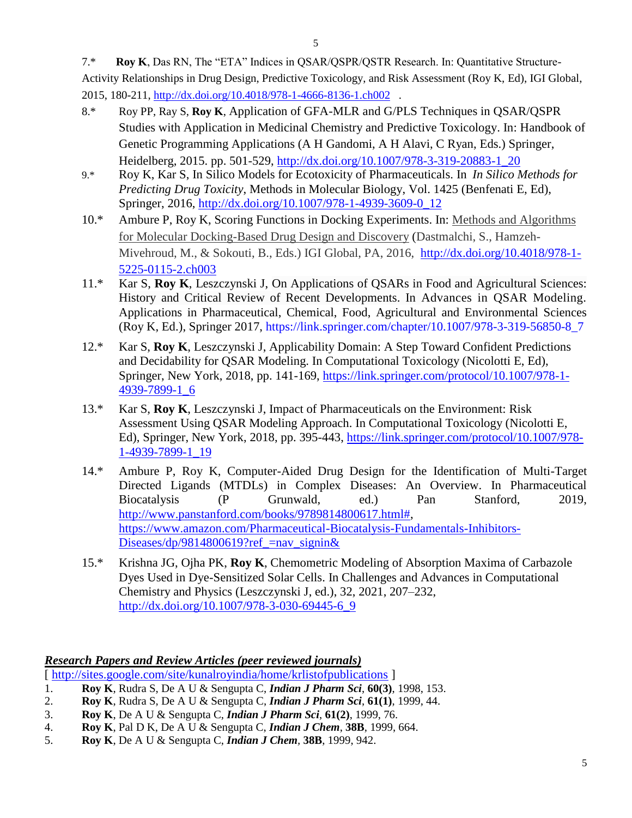7.\* **Roy K**, Das RN, The "ETA" Indices in QSAR/QSPR/QSTR Research. In: Quantitative Structure-Activity Relationships in Drug Design, Predictive Toxicology, and Risk Assessment (Roy K, Ed), IGI Global, 2015, 180-211,<http://dx.doi.org/10.4018/978-1-4666-8136-1.ch002> .

- 8.\* Roy PP, Ray S, **Roy K**, Application of GFA-MLR and G/PLS Techniques in QSAR/QSPR Studies with Application in Medicinal Chemistry and Predictive Toxicology. In: Handbook of Genetic Programming Applications (A H Gandomi, A H Alavi, C Ryan, Eds.) Springer, Heidelberg, 2015. pp. 501-529, [http://dx.doi.org/10.1007/978-3-319-20883-1\\_20](http://dx.doi.org/10.1007/978-3-319-20883-1_20)
- 9.\* Roy K, Kar S, In Silico Models for Ecotoxicity of Pharmaceuticals. In *In Silico Methods for Predicting Drug Toxicity*, Methods in Molecular Biology, Vol. 1425 (Benfenati E, Ed), Springer, 2016, [http://dx.doi.org/10.1007/978-1-4939-3609-0\\_12](http://dx.doi.org/10.1007/978-1-4939-3609-0_12)
- 10.\* Ambure P, Roy K, Scoring Functions in Docking Experiments. In: [Methods and Algorithms](http://www.igi-global.com/book/methods-algorithms-molecular-docking-based/142134)  [for Molecular Docking-Based Drug Design and Discovery](http://www.igi-global.com/book/methods-algorithms-molecular-docking-based/142134) (Dastmalchi, S., Hamzeh-Mivehroud, M., & Sokouti, B., Eds.) IGI Global, PA, 2016, [http://dx.doi.org/10.4018/978-1-](http://dx.doi.org/10.4018/978-1-5225-0115-2.ch003) [5225-0115-2.ch003](http://dx.doi.org/10.4018/978-1-5225-0115-2.ch003)
- 11.\* Kar S, **Roy K**, Leszczynski J, On Applications of QSARs in Food and Agricultural Sciences: History and Critical Review of Recent Developments. In Advances in QSAR Modeling. Applications in Pharmaceutical, Chemical, Food, Agricultural and Environmental Sciences (Roy K, Ed.), Springer 2017, [https://link.springer.com/chapter/10.1007/978-3-319-56850-8\\_7](https://link.springer.com/chapter/10.1007/978-3-319-56850-8_7)
- 12.\* Kar S, **Roy K**, Leszczynski J, Applicability Domain: A Step Toward Confident Predictions and Decidability for QSAR Modeling. In Computational Toxicology (Nicolotti E, Ed), Springer, New York, 2018, pp. 141-169, [https://link.springer.com/protocol/10.1007/978-1-](https://link.springer.com/protocol/10.1007/978-1-4939-7899-1_6) [4939-7899-1\\_6](https://link.springer.com/protocol/10.1007/978-1-4939-7899-1_6)
- 13.\* Kar S, **Roy K**, Leszczynski J, Impact of Pharmaceuticals on the Environment: Risk Assessment Using QSAR Modeling Approach. In Computational Toxicology (Nicolotti E, Ed), Springer, New York, 2018, pp. 395-443, [https://link.springer.com/protocol/10.1007/978-](https://link.springer.com/protocol/10.1007/978-1-4939-7899-1_19) [1-4939-7899-1\\_19](https://link.springer.com/protocol/10.1007/978-1-4939-7899-1_19)
- 14.\* Ambure P, Roy K, Computer-Aided Drug Design for the Identification of Multi-Target Directed Ligands (MTDLs) in Complex Diseases: An Overview. In Pharmaceutical Biocatalysis (P Grunwald, ed.) Pan Stanford, 2019, [http://www.panstanford.com/books/9789814800617.html#,](http://www.panstanford.com/books/9789814800617.html) [https://www.amazon.com/Pharmaceutical-Biocatalysis-Fundamentals-Inhibitors-](https://www.amazon.com/Pharmaceutical-Biocatalysis-Fundamentals-Inhibitors-Diseases/dp/9814800619?ref_=nav_signin&)Diseases/dp/9814800619?ref  $=$ nav signin $\&$
- 15.\* Krishna JG, Ojha PK, **Roy K**, Chemometric Modeling of Absorption Maxima of Carbazole Dyes Used in Dye-Sensitized Solar Cells. In Challenges and Advances in Computational Chemistry and Physics (Leszczynski J, ed.), 32, 2021, 207–232, [http://dx.doi.org/10.1007/978-3-030-69445-6\\_9](http://dx.doi.org/10.1007/978-3-030-69445-6_9)

#### *Research Papers and Review Articles (peer reviewed journals)*

[ <http://sites.google.com/site/kunalroyindia/home/krlistofpublications> ]

- 1. **Roy K**, Rudra S, De A U & Sengupta C, *Indian J Pharm Sci*, **60(3)**, 1998, 153.
- 2. **Roy K**, Rudra S, De A U & Sengupta C, *Indian J Pharm Sci*, **61(1)**, 1999, 44.
- 3. **Roy K**, De A U & Sengupta C, *Indian J Pharm Sci*, **61(2)**, 1999, 76.
- 4. **Roy K**, Pal D K, De A U & Sengupta C, *Indian J Chem*, **38B**, 1999, 664.
- 5. **Roy K**, De A U & Sengupta C, *Indian J Chem,* **38B**, 1999, 942.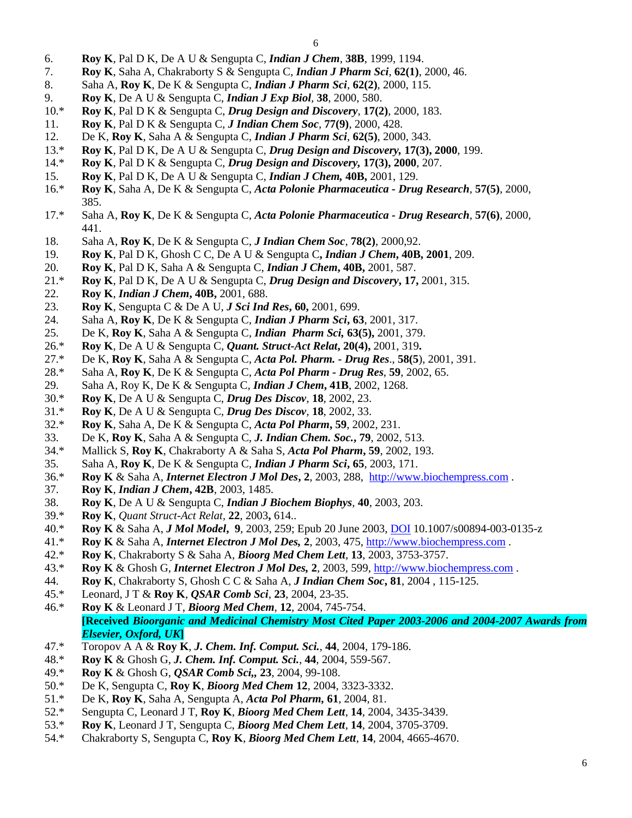- 6. **Roy K**, Pal D K, De A U & Sengupta C, *Indian J Chem*, **38B**, 1999, 1194.
- 7. **Roy K**, Saha A, Chakraborty S & Sengupta C, *Indian J Pharm Sci*, **62(1)**, 2000, 46.
- 8. Saha A, **Roy K**, De K & Sengupta C, *Indian J Pharm Sci*, **62(2)**, 2000, 115.
- 9. **Roy K**, De A U & Sengupta C, *Indian J Exp Biol,* **38**, 2000, 580.
- 10.\* **Roy K**, Pal D K & Sengupta C, *Drug Design and Discovery*, **17(2)**, 2000, 183.
- 11. **Roy K**, Pal D K & Sengupta C, *J Indian Chem Soc*, **77(9)**, 2000, 428.
- 12. De K, **Roy K**, Saha A & Sengupta C, *Indian J Pharm Sci*, **62(5)**, 2000, 343.
- 13.\* **Roy K**, Pal D K, De A U & Sengupta C, *Drug Design and Discovery,* **17(3), 2000**, 199.
- 14.\* **Roy K**, Pal D K & Sengupta C, *Drug Design and Discovery,* **17(3), 2000**, 207.
- 15. **Roy K**, Pal D K, De A U & Sengupta C, *Indian J Chem,* **40B,** 2001, 129.
- 16.\* **Roy K**, Saha A, De K & Sengupta C, *Acta Polonie Pharmaceutica - Drug Research*, **57(5)**, 2000, 385.
- 17.\* Saha A, **Roy K**, De K & Sengupta C, *Acta Polonie Pharmaceutica - Drug Research*, **57(6)**, 2000, 441.
- 18. Saha A, **Roy K**, De K & Sengupta C, *J Indian Chem Soc*, **78(2)**, 2000,92.
- 19. **Roy K**, Pal D K, Ghosh C C, De A U & Sengupta C**,** *Indian J Chem***, 40B, 2001**, 209.
- 20. **Roy K**, Pal D K, Saha A & Sengupta C, *Indian J Chem***, 40B,** 2001, 587.
- 21.\* **Roy K**, Pal D K, De A U & Sengupta C, *Drug Design and Discovery***, 17,** 2001, 315.
- 22. **Roy K**, *Indian J Chem***, 40B,** 2001, 688.
- 23. **Roy K**, Sengupta C & De A U, *J Sci Ind Res***, 60,** 2001, 699.
- 24. Saha A, **Roy K**, De K & Sengupta C, *Indian J Pharm Sci***, 63**, 2001, 317.
- 25. De K, **Roy K**, Saha A & Sengupta C, *Indian Pharm Sci,* **63(5),** 2001, 379.
- 26.\* **Roy K**, De A U & Sengupta C, *Quant. Struct-Act Relat***, 20(4),** 2001, 319**.**
- 27.\* De K, **Roy K**, Saha A & Sengupta C, *Acta Pol. Pharm. - Drug Res*., **58(5**), 2001, 391.
- 28.\* Saha A, **Roy K**, De K & Sengupta C, *Acta Pol Pharm - Drug Res*, **59**, 2002, 65.
- 29. Saha A, Roy K, De K & Sengupta C, *Indian J Chem***, 41B**, 2002, 1268.
- 30.\* **Roy K**, De A U & Sengupta C, *Drug Des Discov*, **18**, 2002, 23.
- 31.\* **Roy K**, De A U & Sengupta C, *Drug Des Discov*, **18**, 2002, 33.
- 32.\* **Roy K**, Saha A, De K & Sengupta C, *Acta Pol Pharm***, 59**, 2002, 231.
- 33. De K, **Roy K**, Saha A & Sengupta C, *J. Indian Chem. Soc.***, 79**, 2002, 513.
- 34.\* Mallick S, **Roy K**, Chakraborty A & Saha S, *Acta Pol Pharm***, 59**, 2002, 193.
- 35. Saha A, **Roy K**, De K & Sengupta C, *Indian J Pharm Sci***, 65**, 2003, 171.
- 36.\* **Roy K** & Saha A, *Internet Electron J Mol Des***, 2**, 2003, 288, [http://www.biochempress.com](http://www.biochempress.com/) .
- 37. **Roy K**, *Indian J Chem***, 42B**, 2003, 1485.
- 38. **Roy K**, De A U & Sengupta C, *Indian J Biochem Biophys*, **40**, 2003, 203.
- 39.\* **Roy K**, *Quant Struct-Act Relat,* **22**, 2003**,** 614..
- 40.\* **Roy K** & Saha A, *J Mol Model***, 9**, 2003, 259; Epub 20 June 2003, [DOI](http://dx.doi.org/10.1007/s00894-003-0135-z) 10.1007/s00894-003-0135-z
- 41.\* **Roy K** & Saha A, *Internet Electron J Mol Des,* **2**, 2003, 475, [http://www.biochempress.com](http://www.biochempress.com/) .
- 42.\* **Roy K**, Chakraborty S & Saha A, *Bioorg Med Chem Lett*, **13**, 2003, 3753-3757.
- 43.\* **Roy K** & Ghosh G, *Internet Electron J Mol Des,* **2**, 2003, 599, [http://www.biochempress.com](http://www.biochempress.com/) .
- 44. **Roy K**, Chakraborty S, Ghosh C C & Saha A, *J Indian Chem Soc***, 81**, 2004 , 115-125.
- 45.\* Leonard, J T & **Roy K**, *QSAR Comb Sci*, **23**, 2004, 23-35.
- 46.\* **Roy K** & Leonard J T, *Bioorg Med Chem*, **12**, 2004, 745-754. **[Received** *Bioorganic and Medicinal Chemistry Most Cited Paper 2003-2006 and 2004-2007 Awards from Elsevier, Oxford, UK***]**
- 47.\* Toropov A A & **Roy K**, *J. Chem. Inf. Comput. Sci.*, **44**, 2004, 179-186.
- 48.\* **Roy K** & Ghosh G, *J. Chem. Inf. Comput. Sci.*, **44**, 2004, 559-567.
- 49.\* **Roy K** & Ghosh G, *QSAR Comb Sci,,* **23**, 2004, 99-108.
- 50.\* De K, Sengupta C, **Roy K**, *Bioorg Med Chem* **12**, 2004, 3323-3332.
- 51.\* De K, **Roy K**, Saha A, Sengupta A, *Acta Pol Pharm,* **61**, 2004, 81.
- 52.\* Sengupta C, Leonard J T, **Roy K**, *Bioorg Med Chem Lett*, **14**, 2004, 3435-3439.
- 53.\* **Roy K**, Leonard J T, Sengupta C, *Bioorg Med Chem Lett*, **14**, 2004, 3705-3709.
- 54.\* Chakraborty S, Sengupta C, **Roy K**, *Bioorg Med Chem Lett*, **14**, 2004, 4665-4670.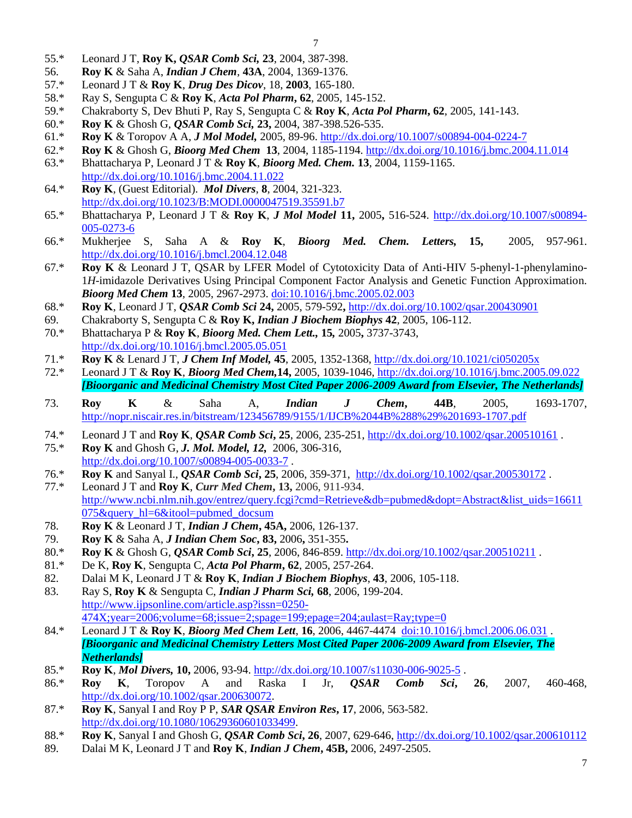- 55.\* Leonard J T, **Roy K,** *QSAR Comb Sci,* **23**, 2004, 387-398.
- 56. **Roy K** & Saha A, *Indian J Chem*, **43A**, 2004, 1369-1376.
- 57.\* Leonard J T & **Roy K**, *Drug Des Dicov*, 18, **2003**, 165-180.
- 58.\* Ray S, Sengupta C & **Roy K**, *Acta Pol Pharm***, 62**, 2005, 145-152.
- 59.\* Chakraborty S, Dev Bhuti P, Ray S, Sengupta C & **Roy K**, *Acta Pol Pharm***, 62**, 2005, 141-143.
- 60.\* **Roy K** & Ghosh G, *QSAR Comb Sci,* **23,** 2004, 387-398.526-535.
- 61.\* **Roy K** & Toropov A A, *J Mol Model,* 2005, 89-96.<http://dx.doi.org/10.1007/s00894-004-0224-7>
- 62.\* **Roy K** & Ghosh G, *Bioorg Med Chem* **13**, 2004, 1185-1194.<http://dx.doi.org/10.1016/j.bmc.2004.11.014> 63.\* Bhattacharya P, Leonard J T & **Roy K**, *Bioorg Med. Chem.* **13**, 2004, 1159-1165.
- <http://dx.doi.org/10.1016/j.bmc.2004.11.022>
- 64.\* **Roy K**, (Guest Editorial). *Mol Divers*, **8**, 2004, 321-323. <http://dx.doi.org/10.1023/B:MODI.0000047519.35591.b7>
- 65.\* Bhattacharya P, Leonard J T & **Roy K**, *J Mol Model* **11,** 2005**,** 516-524. [http://dx.doi.org/10.1007/s00894-](http://dx.doi.org/10.1007/s00894-005-0273-6) [005-0273-6](http://dx.doi.org/10.1007/s00894-005-0273-6)
- 66.\* Mukherjee S, Saha A & **Roy K**, *Bioorg Med. Chem. Letters,* **15,** 2005, 957-961. <http://dx.doi.org/10.1016/j.bmcl.2004.12.048>
- 67.\* **Roy K** & Leonard J T, QSAR by LFER Model of Cytotoxicity Data of Anti-HIV 5-phenyl-1-phenylamino-1*H*-imidazole Derivatives Using Principal Component Factor Analysis and Genetic Function Approximation. *Bioorg Med Chem* **13**, 2005, 2967-2973. [doi:10.1016/j.bmc.2005.02.003](http://dx.doi.org/10.1016/j.bmc.2005.02.003)
- 68.\* **Roy K**, Leonard J T, *QSAR Comb Sci* **24,** 2005, 579-592**,** <http://dx.doi.org/10.1002/qsar.200430901>
- 69. Chakraborty S, Sengupta C & **Roy K,** *Indian J Biochem Biophys* **42**, 2005, 106-112. 70.\* Bhattacharya P & **Roy K**, *Bioorg Med. Chem Lett.,* **15***,* 2005**,** 3737-3743, <http://dx.doi.org/10.1016/j.bmcl.2005.05.051>
- 71.\* **Roy K** & Lenard J T, *J Chem Inf Model,* **45**, 2005, 1352-1368[, http://dx.doi.org/10.1021/ci050205x](http://dx.doi.org/10.1021/ci050205x)
- 72.\* Leonard J T & **Roy K**, *Bioorg Med Chem,***14,** 2005, 1039-1046,<http://dx.doi.org/10.1016/j.bmc.2005.09.022> *[Bioorganic and Medicinal Chemistry Most Cited Paper 2006-2009 Award from Elsevier, The Netherlands]*
- 73. **Roy K** & Saha A, *Indian J Chem***, 44B**, 2005, 1693-1707, <http://nopr.niscair.res.in/bitstream/123456789/9155/1/IJCB%2044B%288%29%201693-1707.pdf>
- 74.\* Leonard J T and **Roy K**, *QSAR Comb Sci***, 25**, 2006, 235-251, <http://dx.doi.org/10.1002/qsar.200510161> .
- 75.\* **Roy K** and Ghosh G, *J. Mol. Model, 12,* 2006, 306-316, <http://dx.doi.org/10.1007/s00894-005-0033-7> .
- 76.\* **Roy K** and Sanyal I., *QSAR Comb Sci***, 25**, 2006, 359-371, <http://dx.doi.org/10.1002/qsar.200530172> .
- 77.\* Leonard J T and **Roy K**, *Curr Med Chem***, 13,** 2006, 911-934. [http://www.ncbi.nlm.nih.gov/entrez/query.fcgi?cmd=Retrieve&db=pubmed&dopt=Abstract&list\\_uids=16611](http://www.ncbi.nlm.nih.gov/entrez/query.fcgi?cmd=Retrieve&db=pubmed&dopt=Abstract&list_uids=16611075&query_hl=6&itool=pubmed_docsum) [075&query\\_hl=6&itool=pubmed\\_docsum](http://www.ncbi.nlm.nih.gov/entrez/query.fcgi?cmd=Retrieve&db=pubmed&dopt=Abstract&list_uids=16611075&query_hl=6&itool=pubmed_docsum)
- 78. **Roy K** & Leonard J T, *Indian J Chem***, 45A,** 2006, 126-137.
- 79. **Roy K** & Saha A, *J Indian Chem Soc***, 83,** 2006**,** 351-355**.**
- 80.\* **Roy K** & Ghosh G, *QSAR Comb Sci***, 25**, 2006, 846-859. <http://dx.doi.org/10.1002/qsar.200510211> .
- 81.\* De K, **Roy K**, Sengupta C, *Acta Pol Pharm***, 62**, 2005, 257-264.
- 82. Dalai M K, Leonard J T & **Roy K**, *Indian J Biochem Biophys*, **43**, 2006, 105-118.
- 83. Ray S, **Roy K** & Sengupta C, *Indian J Pharm Sci,* **68**, 2006, 199-204. [http://www.ijpsonline.com/article.asp?issn=0250-](http://www.ijpsonline.com/article.asp?issn=0250-474X;year=2006;volume=68;issue=2;spage=199;epage=204;aulast=Ray;type=0)  $474X$ ;year= $2006$ ;volume= $68$ ;issue= $2$ ;spage=199;epage= $204$ ;aulast=Ray;type= $0$
- 84.\* Leonard J T & **Roy K**, *Bioorg Med Chem Lett*, **16**, 2006, 4467-4474 [doi:10.1016/j.bmcl.2006.06.031](http://dx.doi.org/10.1016/j.bmcl.2006.06.031) . *[Bioorganic and Medicinal Chemistry Letters Most Cited Paper 2006-2009 Award from Elsevier, The Netherlands]*
- 85.\* **Roy K**, *Mol Divers,* **10,** 2006, 93-94.<http://dx.doi.org/10.1007/s11030-006-9025-5> .
- 86.\* **Roy K**, Toropov A and Raska I Jr, *QSAR Comb Sci***, 26**, 2007, 460-468, [http://dx.doi.org/10.1002/qsar.200630072.](http://dx.doi.org/10.1002/qsar.200630072)
- 87.\* **Roy K**, Sanyal I and Roy P P, *SAR QSAR Environ Res***, 17**, 2006, 563-582. [http://dx.doi.org/10.1080/10629360601033499.](http://dx.doi.org/10.1080/10629360601033499)
- 88.\* **Roy K**, Sanyal I and Ghosh G, *QSAR Comb Sci***, 26**, 2007, 629-646,<http://dx.doi.org/10.1002/qsar.200610112>
- 89. Dalai M K, Leonard J T and **Roy K**, *Indian J Chem***, 45B,** 2006, 2497-2505.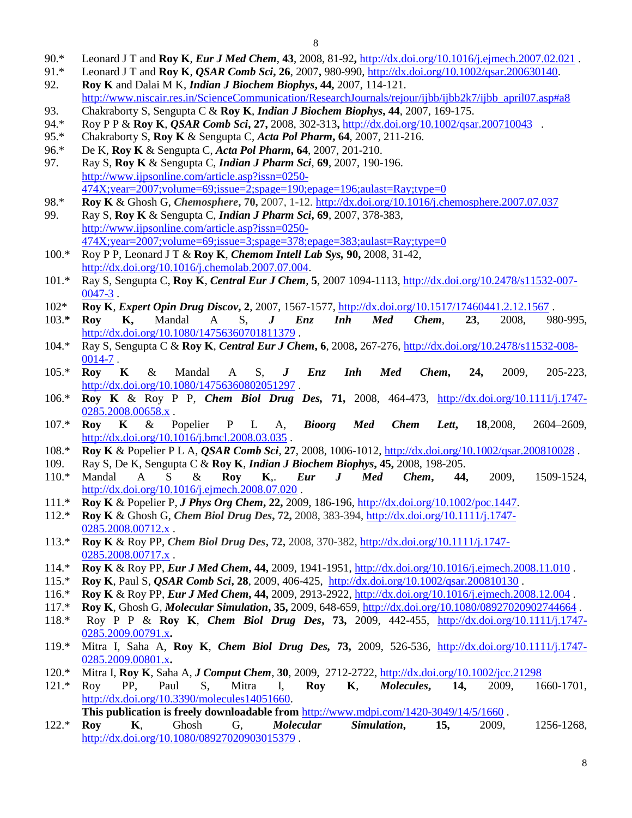- 90.\* Leonard J T and **Roy K**, *Eur J Med Chem*, **43**, 2008, 81-92**,** <http://dx.doi.org/10.1016/j.ejmech.2007.02.021> .
- 91.\* Leonard J T and **Roy K**, *QSAR Comb Sci***, 26**, 2007**,** 980-990, [http://dx.doi.org/10.1002/qsar.200630140.](http://dx.doi.org/10.1002/qsar.200630140) 92. **Roy K** and Dalai M K, *Indian J Biochem Biophys***, 44,** 2007, 114-121.
- [http://www.niscair.res.in/ScienceCommunication/ResearchJournals/rejour/ijbb/ijbb2k7/ijbb\\_april07.asp#a8](http://www.niscair.res.in/ScienceCommunication/ResearchJournals/rejour/ijbb/ijbb2k7/ijbb_april07.asp#a8) 93. Chakraborty S, Sengupta C & **Roy K**, *Indian J Biochem Biophys***, 44**, 2007, 169-175.
- 94.\* Roy P P & **Roy K**, *QSAR Comb Sci***, 27,** 2008, 302-313**,** <http://dx.doi.org/10.1002/qsar.200710043>.
- 95.\* Chakraborty S, **Roy K** & Sengupta C*, Acta Pol Pharm***, 64**, 2007, 211-216.
- 96.\* De K, **Roy K** & Sengupta C, *Acta Pol Pharm***, 64**, 2007, 201-210.
- 97. Ray S, **Roy K** & Sengupta C, *Indian J Pharm Sci*, **69**, 2007, 190-196. [http://www.ijpsonline.com/article.asp?issn=0250-](http://www.ijpsonline.com/article.asp?issn=0250-474X;year=2007;volume=69;issue=2;spage=190;epage=196;aulast=Ray;type=0) [474X;year=2007;volume=69;issue=2;spage=190;epage=196;aulast=Ray;type=0](http://www.ijpsonline.com/article.asp?issn=0250-474X;year=2007;volume=69;issue=2;spage=190;epage=196;aulast=Ray;type=0)
- 98.\* **Roy K** & Ghosh G, *Chemosphere***, 70,** 2007, 1-12.<http://dx.doi.org/10.1016/j.chemosphere.2007.07.037>
- 99. Ray S, **Roy K** & Sengupta C, *Indian J Pharm Sci***, 69**, 2007, 378-383, [http://www.ijpsonline.com/article.asp?issn=0250-](http://www.ijpsonline.com/article.asp?issn=0250-474X;year=2007;volume=69;issue=3;spage=378;epage=383;aulast=Ray;type=0)  $474X; year = 2007; volume = 69; issue = 3; space = 378; page = 383; aulast = Ray; type = 0$
- 100.\* Roy P P, Leonard J T & **Roy K**, *Chemom Intell Lab Sys,* **90,** 2008, 31-42, [http://dx.doi.org/10.1016/j.chemolab.2007.07.004.](http://dx.doi.org/10.1016/j.chemolab.2007.07.004)
- 101.\* Ray S, Sengupta C, **Roy K**, *Central Eur J Chem*, **5**, 2007 1094-1113, [http://dx.doi.org/10.2478/s11532-007-](http://dx.doi.org/10.2478/s11532-007-0047-3) [0047-3](http://dx.doi.org/10.2478/s11532-007-0047-3) .
- 102\* **Roy K**, *Expert Opin Drug Discov***, 2**, 2007, 1567-1577,<http://dx.doi.org/10.1517/17460441.2.12.1567> .
- 103.**\* Roy K,** Mandal A S, *J Enz Inh Med Chem*, **23**, 2008, 980-995, <http://dx.doi.org/10.1080/14756360701811379>.
- 104.\* Ray S, Sengupta C & **Roy K**, *Central Eur J Chem***, 6**, 2008**,** 267-276, [http://dx.doi.org/10.2478/s11532-008-](http://dx.doi.org/10.2478/s11532-008-0014-7) [0014-7](http://dx.doi.org/10.2478/s11532-008-0014-7) .
- 105.\* **Roy K** & Mandal A S, *J Enz Inh Med Chem***, 24,** 2009, 205-223, <http://dx.doi.org/10.1080/14756360802051297>.
- 106.\* **Roy K** & Roy P P, *Chem Biol Drug Des,* **71,** 2008, 464-473, [http://dx.doi.org/10.1111/j.1747-](http://dx.doi.org/10.1111/j.1747-0285.2008.00658.x) [0285.2008.00658.x](http://dx.doi.org/10.1111/j.1747-0285.2008.00658.x).
- 107.\* **Roy K** & Popelier P L A, *Bioorg Med Chem Lett***, 18**,2008, 2604–2609, <http://dx.doi.org/10.1016/j.bmcl.2008.03.035> .
- 108.\* **Roy K** & Popelier P L A, *QSAR Comb Sci*, **27**, 2008, 1006-1012, <http://dx.doi.org/10.1002/qsar.200810028> .
- 109. Ray S, De K, Sengupta C & **Roy K**, *Indian J Biochem Biophys***, 45,** 2008, 198-205.
- 110.\* Mandal A S & **Roy K**,. *Eur J Med Chem***, 44,** 2009, 1509-1524, <http://dx.doi.org/10.1016/j.ejmech.2008.07.020> .
- 111.\* **Roy K** & Popelier P, *J Phys Org Chem***, 22,** 2009, 186-196, [http://dx.doi.org/10.1002/poc.1447.](http://dx.doi.org/10.1002/poc.1447)
- 112.\* **Roy K** & Ghosh G, *Chem Biol Drug Des***, 72,** 2008, 383-394, [http://dx.doi.org/10.1111/j.1747-](http://dx.doi.org/10.1111/j.1747-0285.2008.00712.x) [0285.2008.00712.x](http://dx.doi.org/10.1111/j.1747-0285.2008.00712.x).
- 113.\* **Roy K** & Roy PP, *Chem Biol Drug Des***, 72,** 2008, 370-382, [http://dx.doi.org/10.1111/j.1747-](http://dx.doi.org/10.1111/j.1747-0285.2008.00717.x) [0285.2008.00717.x](http://dx.doi.org/10.1111/j.1747-0285.2008.00717.x).
- 114.\* **Roy K** & Roy PP, *Eur J Med Chem***, 44,** 2009, 1941-1951,<http://dx.doi.org/10.1016/j.ejmech.2008.11.010> .
- 115.\* **Roy K**, Paul S, *QSAR Comb Sci***, 28**, 2009, 406-425, <http://dx.doi.org/10.1002/qsar.200810130> .
- 116.\* **Roy K** & Roy PP, *Eur J Med Chem***, 44,** 2009, 2913-2922, <http://dx.doi.org/10.1016/j.ejmech.2008.12.004> .
- 117.\* **Roy K**, Ghosh G, *Molecular Simulation***, 35,** 2009, 648-659,<http://dx.doi.org/10.1080/08927020902744664> .
- 118.\* Roy P P & **Roy K**, *Chem Biol Drug Des***, 73,** 2009, 442-455, [http://dx.doi.org/10.1111/j.1747-](http://dx.doi.org/10.1111/j.1747-0285.2009.00791.x) [0285.2009.00791.x](http://dx.doi.org/10.1111/j.1747-0285.2009.00791.x)**.**
- 119.\* Mitra I, Saha A, **Roy K**, *Chem Biol Drug Des,* **73,** 2009, 526-536, [http://dx.doi.org/10.1111/j.1747-](http://dx.doi.org/10.1111/j.1747-0285.2009.00801.x) [0285.2009.00801.x](http://dx.doi.org/10.1111/j.1747-0285.2009.00801.x)**.**
- 120.\* Mitra I, **Roy K**, Saha A, *J Comput Chem*, **30**, 2009, 2712-2722, <http://dx.doi.org/10.1002/jcc.21298>
- 121.\* Roy PP, Paul S, Mitra I, **Roy K**, *Molecules***, 14,** 2009, 1660-1701, [http://dx.doi.org/10.3390/molecules14051660.](http://dx.doi.org/10.3390/molecules14051660)

**This publication is freely downloadable from** <http://www.mdpi.com/1420-3049/14/5/1660> .

122.\* **Roy K**, Ghosh G, *Molecular Simulation***, 15,** 2009, 1256-1268, <http://dx.doi.org/10.1080/08927020903015379> .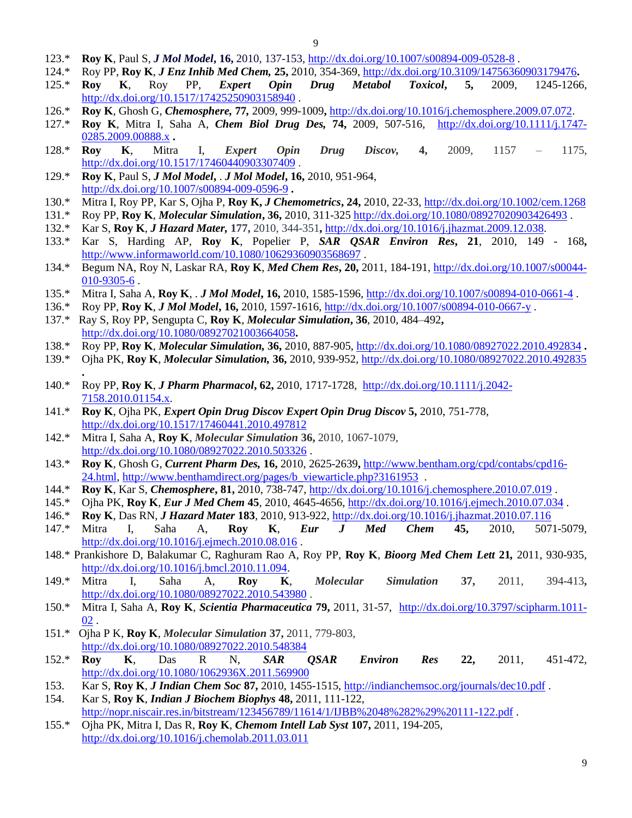- 123.\* **Roy K**, Paul S, *J Mol Model***, 16,** 2010, 137-153, <http://dx.doi.org/10.1007/s00894-009-0528-8> .
- 124.\* Roy PP, **Roy K**, *J Enz Inhib Med Chem,* **25,** 2010, 354-369,<http://dx.doi.org/10.3109/14756360903179476>**.**
- 125.\* **Roy K**, Roy PP, *Expert Opin Drug Metabol Toxicol***, 5,** 2009, 1245-1266, <http://dx.doi.org/10.1517/17425250903158940> .
- 126.\* **Roy K**, Ghosh G, *Chemosphere,* **77***,* 2009, 999-1009**,** [http://dx.doi.org/10.1016/j.chemosphere.2009.07.072.](http://dx.doi.org/10.1016/j.chemosphere.2009.07.072)
- 127.\* **Roy K**, Mitra I, Saha A, *Chem Biol Drug Des,* **74,** 2009, 507-516,[http://dx.doi.org/10.1111/j.1747-](http://dx.doi.org/10.1111/j.1747-0285.2009.00888.x) [0285.2009.00888.x](http://dx.doi.org/10.1111/j.1747-0285.2009.00888.x) **.**
- 128.\* **Roy K**, Mitra I, *Expert Opin Drug Discov,* **4,** 2009, 1157 1175, <http://dx.doi.org/10.1517/17460440903307409> .
- 129.\* **Roy K**, Paul S, *J Mol Model***,** . *J Mol Model***, 16,** 2010, 951-964, <http://dx.doi.org/10.1007/s00894-009-0596-9> **.**
- 130.\* Mitra I, Roy PP, Kar S, Ojha P, **Roy K,** *J Chemometrics***, 24,** 2010, 22-33, <http://dx.doi.org/10.1002/cem.1268>
- 131.\* Roy PP, **Roy K**, *Molecular Simulation***, 36,** 2010, 311-325 <http://dx.doi.org/10.1080/08927020903426493> .
- 132.\* Kar S, **Roy K**, *J Hazard Mater,* **177,** 2010, 344-351**,** [http://dx.doi.org/10.1016/j.jhazmat.2009.12.038.](http://dx.doi.org/10.1016/j.jhazmat.2009.12.038)
- 133.\* Kar S, Harding AP, **Roy K**, Popelier P, *SAR QSAR Environ Res***, 21**, 2010, 149 168**,** <http://www.informaworld.com/10.1080/10629360903568697>.
- 134.\* Begum NA, Roy N, Laskar RA, **Roy K**, *Med Chem Res***, 20,** 2011, 184-191, [http://dx.doi.org/10.1007/s00044-](http://dx.doi.org/10.1007/s00044-010-9305-6) [010-9305-6](http://dx.doi.org/10.1007/s00044-010-9305-6) .
- 135.\* Mitra I, Saha A, **Roy K**, . *J Mol Model***, 16,** 2010, 1585-1596,<http://dx.doi.org/10.1007/s00894-010-0661-4> .
- 136.\* Roy PP, **Roy K**, *J Mol Model***, 16,** 2010, 1597-1616, <http://dx.doi.org/10.1007/s00894-010-0667-y> .
- 137.\* Ray S, Roy PP, Sengupta C, **Roy K**, *Molecular Simulation***, 36**, 2010, 484–492**,**  <http://dx.doi.org/10.1080/08927021003664058>**.**
- 138.\* Roy PP, **Roy K**, *Molecular Simulation,* **36,** 2010, 887-905,<http://dx.doi.org/10.1080/08927022.2010.492834> **.**
- 139.\* Ojha PK, **Roy K**, *Molecular Simulation,* **36,** 2010, 939-952,<http://dx.doi.org/10.1080/08927022.2010.492835>
- 140.\* Roy PP, **Roy K**, *J Pharm Pharmacol***, 62,** 2010, 1717-1728, [http://dx.doi.org/10.1111/j.2042-](http://dx.doi.org/10.1111/j.2042-7158.2010.01154.x) [7158.2010.01154.x.](http://dx.doi.org/10.1111/j.2042-7158.2010.01154.x)
- 141.\* **Roy K**, Ojha PK, *Expert Opin Drug Discov Expert Opin Drug Discov* **5,** 2010, 751-778, <http://dx.doi.org/10.1517/17460441.2010.497812>
- 142.\* Mitra I, Saha A, **Roy K**, *Molecular Simulation* **36,** 2010, 1067-1079, <http://dx.doi.org/10.1080/08927022.2010.503326> .

**.**

- 143.\* **Roy K**, Ghosh G, *Current Pharm Des,* **16,** 2010, 2625-2639**,** [http://www.bentham.org/cpd/contabs/cpd16-](http://www.bentham.org/cpd/contabs/cpd16-24.html) [24.html,](http://www.bentham.org/cpd/contabs/cpd16-24.html) [http://www.benthamdirect.org/pages/b\\_viewarticle.php?3161953](http://www.benthamdirect.org/pages/b_viewarticle.php?3161953) .
- 144.\* **Roy K**, Kar S, *Chemosphere***, 81,** 2010, 738-747, <http://dx.doi.org/10.1016/j.chemosphere.2010.07.019> .
- 145.\* Ojha PK, **Roy K**, *Eur J Med Chem* **45***,* 2010, 4645-4656,<http://dx.doi.org/10.1016/j.ejmech.2010.07.034> .
- 146.\* **Roy K**, Das RN, *J Hazard Mater* **183**, 2010, 913-922,<http://dx.doi.org/10.1016/j.jhazmat.2010.07.116>
- 147.\* Mitra I, Saha A, **Roy K**, *Eur J Med Chem* **45,** 2010, 5071-5079, <http://dx.doi.org/10.1016/j.ejmech.2010.08.016> .
- 148.\* Prankishore D, Balakumar C, Raghuram Rao A, Roy PP, **Roy K**, *Bioorg Med Chem Lett* **21***,* 2011, 930-935, [http://dx.doi.org/10.1016/j.bmcl.2010.11.094.](http://dx.doi.org/10.1016/j.bmcl.2010.11.094)
- 149.\* Mitra I, Saha A, **Roy K**, *Molecular Simulation* **37,** 2011, 394-413**,**  <http://dx.doi.org/10.1080/08927022.2010.543980> .
- 150.\* Mitra I, Saha A, **Roy K**, *Scientia Pharmaceutica* **79,** 2011, 31-57, [http://dx.doi.org/10.3797/scipharm.1011-](http://dx.doi.org/10.3797/scipharm.1011-02)  $02$ .
- 151.\* Ojha P K, **Roy K**, *Molecular Simulation* **37,** 2011, 779-803, <http://dx.doi.org/10.1080/08927022.2010.548384>
- 152.\* **Roy K**, Das R N, *SAR QSAR Environ Res* **22,** 2011, 451-472, <http://dx.doi.org/10.1080/1062936X.2011.569900>
- 153. Kar S, **Roy K**, *J Indian Chem Soc* **87,** 2010, 1455-1515,<http://indianchemsoc.org/journals/dec10.pdf> .
- 154. Kar S, **Roy K**, *Indian J Biochem Biophys* **48,** 2011, 111-122, <http://nopr.niscair.res.in/bitstream/123456789/11614/1/IJBB%2048%282%29%20111-122.pdf>
- 155.\* Ojha PK, Mitra I, Das R, **Roy K**, *Chemom Intell Lab Syst* **107,** 2011, 194-205, <http://dx.doi.org/10.1016/j.chemolab.2011.03.011>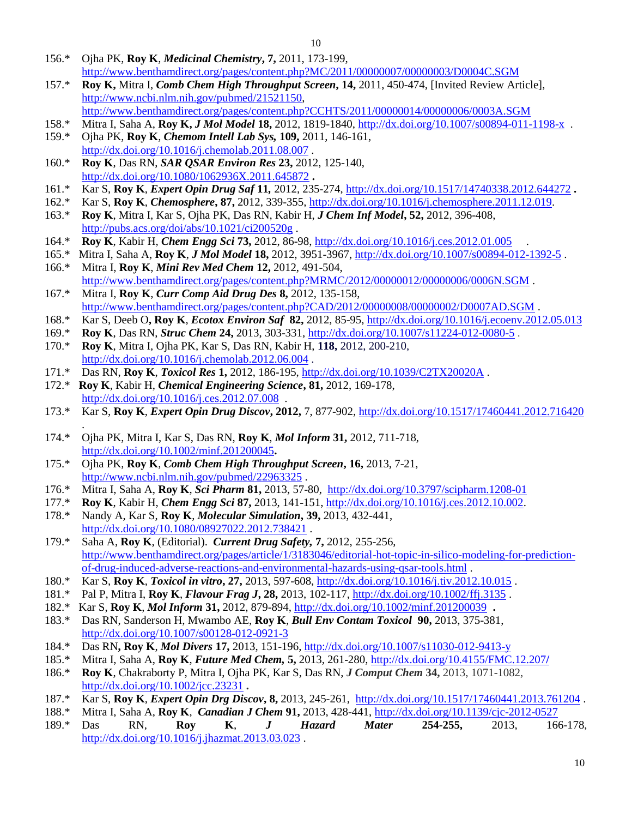- 156.\* Ojha PK, **Roy K**, *Medicinal Chemistry***, 7,** 2011, 173-199, <http://www.benthamdirect.org/pages/content.php?MC/2011/00000007/00000003/D0004C.SGM>
- 157.\* **Roy K,** Mitra I, *Comb Chem High Throughput Screen***, 14,** 2011, 450-474, [Invited Review Article], [http://www.ncbi.nlm.nih.gov/pubmed/21521150,](http://www.ncbi.nlm.nih.gov/pubmed/21521150)
- <http://www.benthamdirect.org/pages/content.php?CCHTS/2011/00000014/00000006/0003A.SGM>
- 158.\* Mitra I, Saha A, **Roy K,** *J Mol Model* **18,** 2012, 1819-1840, <http://dx.doi.org/10.1007/s00894-011-1198-x>. 159.\* Ojha PK, **Roy K**, *Chemom Intell Lab Sys,* **109,** 2011, 146-161, <http://dx.doi.org/10.1016/j.chemolab.2011.08.007> .
- 160.\* **Roy K**, Das RN, *SAR QSAR Environ Res* **23,** 2012, 125-140, <http://dx.doi.org/10.1080/1062936X.2011.645872> **.**
- 161.\* Kar S, **Roy K**, *Expert Opin Drug Saf* **11***,* 2012, 235-274,<http://dx.doi.org/10.1517/14740338.2012.644272> **.**
- 162.\* Kar S, **Roy K**, *Chemosphere***, 87,** 2012, 339-355, [http://dx.doi.org/10.1016/j.chemosphere.2011.12.019.](http://dx.doi.org/10.1016/j.chemosphere.2011.12.019)
- 163.\* **Roy K**, Mitra I, Kar S, Ojha PK, Das RN, Kabir H, *J Chem Inf Model***, 52,** 2012, 396-408, <http://pubs.acs.org/doi/abs/10.1021/ci200520g> .
- 164.\* **Roy K**, Kabir H, *Chem Engg Sci* **73,** 2012, 86-98,<http://dx.doi.org/10.1016/j.ces.2012.01.005>.
- 165.\* Mitra I, Saha A, **Roy K**, *J Mol Model* **18,** 2012, 3951-3967, <http://dx.doi.org/10.1007/s00894-012-1392-5> . 166.\* Mitra I, **Roy K**, *Mini Rev Med Chem* **12,** 2012, 491-504,
- http://www.benthamdirect.org/pages/content.php?MRMC/2012/00000012/0000006/0006N.SGM. 167.\* Mitra I, **Roy K**, *Curr Comp Aid Drug Des* **8,** 2012, 135-158,
- <http://www.benthamdirect.org/pages/content.php?CAD/2012/00000008/00000002/D0007AD.SGM> .
- 168.\* Kar S, Deeb O**, Roy K**, *Ecotox Environ Saf* **82,** 2012, 85-95, <http://dx.doi.org/10.1016/j.ecoenv.2012.05.013>
- 169.\* **Roy K**, Das RN, *Struc Chem* **24,** 2013, 303-331, <http://dx.doi.org/10.1007/s11224-012-0080-5> .
- 170.\* **Roy K**, Mitra I, Ojha PK, Kar S, Das RN, Kabir H, **118,** 2012, 200-210, <http://dx.doi.org/10.1016/j.chemolab.2012.06.004> .
- 171.\* Das RN, **Roy K**, *Toxicol Res* **1,** 2012, 186-195, <http://dx.doi.org/10.1039/C2TX20020A> .
- 172.\* **Roy K**, Kabir H, *Chemical Engineering Science***, 81,** 2012, 169-178, <http://dx.doi.org/10.1016/j.ces.2012.07.008>.
- 173.\* Kar S, **Roy K**, *Expert Opin Drug Discov***, 2012,** 7, 877-902,<http://dx.doi.org/10.1517/17460441.2012.716420> .
- 174.\* Ojha PK, Mitra I, Kar S, Das RN, **Roy K**, *Mol Inform* **31,** 2012, 711-718, <http://dx.doi.org/10.1002/minf.201200045>**.**
- 175.\* Ojha PK, **Roy K**, *Comb Chem High Throughput Screen***, 16,** 2013, 7-21, <http://www.ncbi.nlm.nih.gov/pubmed/22963325> .
- 176.\* Mitra I, Saha A, **Roy K**, *Sci Pharm* **81,** 2013, 57-80, <http://dx.doi.org/10.3797/scipharm.1208-01>
- 177.\* **Roy K**, Kabir H, *Chem Engg Sci* **87,** 2013, 141-151, [http://dx.doi.org/10.1016/j.ces.2012.10.002.](http://dx.doi.org/10.1016/j.ces.2012.10.002)
- 178.\* Nandy A, Kar S, **Roy K**, *Molecular Simulation***, 39,** 2013, 432-441, <http://dx.doi.org/10.1080/08927022.2012.738421>.
- 179.\* Saha A, **Roy K**, (Editorial). *Current Drug Safety,* **7,** 2012, 255-256, [http://www.benthamdirect.org/pages/article/1/3183046/editorial-hot-topic-in-silico-modeling-for-prediction](http://www.benthamdirect.org/pages/article/1/3183046/editorial-hot-topic-in-silico-modeling-for-prediction-of-drug-induced-adverse-reactions-and-environmental-hazards-using-qsar-tools.html)[of-drug-induced-adverse-reactions-and-environmental-hazards-using-qsar-tools.html](http://www.benthamdirect.org/pages/article/1/3183046/editorial-hot-topic-in-silico-modeling-for-prediction-of-drug-induced-adverse-reactions-and-environmental-hazards-using-qsar-tools.html) .
- 180.\* Kar S, **Roy K**, *Toxicol in vitro***, 27,** 2013, 597-608,<http://dx.doi.org/10.1016/j.tiv.2012.10.015> .
- 181.\* Pal P, Mitra I, **Roy K**, *Flavour Frag J***, 28,** 2013, 102-117[, http://dx.doi.org/10.1002/ffj.3135](http://dx.doi.org/10.1002/ffj.3135) .
- 182.\* Kar S, **Roy K**, *Mol Inform* **31,** 2012, 879-894,<http://dx.doi.org/10.1002/minf.201200039> **.**
- 183.\* Das RN, Sanderson H, Mwambo AE, **Roy K**, *Bull Env Contam Toxicol* **90,** 2013, 375-381, <http://dx.doi.org/10.1007/s00128-012-0921-3>
- 184.\* Das RN**, Roy K**, *Mol Divers* **17,** 2013, 151-196, <http://dx.doi.org/10.1007/s11030-012-9413-y>
- 185.\* Mitra I, Saha A, **Roy K**, *Future Med Chem,* **5,** 2013, 261-280, [http://dx.doi.org/10.4155/FMC.12.207](http://dx.doi.org/10.4155/FMC.12.207/)**/**
- 186.\* **Roy K**, Chakraborty P, Mitra I, Ojha PK, Kar S, Das RN, *J Comput Chem* **34,** 2013, 1071-1082, <http://dx.doi.org/10.1002/jcc.23231> **.**
- 187.\* Kar S, **Roy K**, *Expert Opin Drg Discov***, 8,** 2013, 245-261, <http://dx.doi.org/10.1517/17460441.2013.761204> .
- 188.\* Mitra I, Saha A, **Roy K**, *Canadian J Chem* **91,** 2013, 428-441, <http://dx.doi.org/10.1139/cjc-2012-0527>
- 189.\* Das RN, **Roy K**, *J Hazard Mater* **254-255,** 2013, 166-178, <http://dx.doi.org/10.1016/j.jhazmat.2013.03.023> .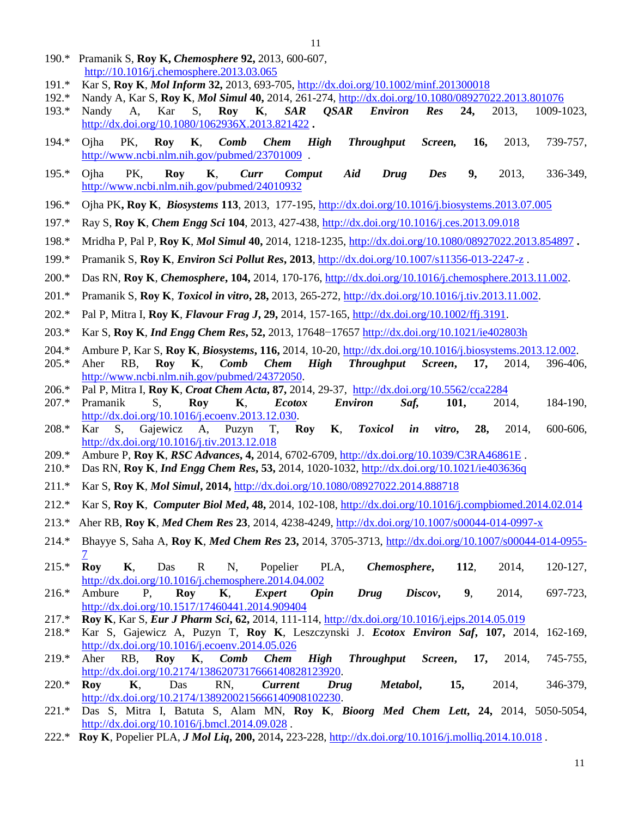- 190.\*Pramanik S, **Roy K,** *Chemosphere* **92,** 2013, 600-607, [http://10.1016/j.chemosphere.2013.03.065](http://10.0.3.248/j.chemosphere.2013.03.065)
- 191.\* Kar S, **Roy K**, *Mol Inform* **32,** 2013, 693-705,<http://dx.doi.org/10.1002/minf.201300018>
- 192.\* Nandy A, Kar S, **Roy K**, *Mol Simul* **40,** 2014, 261-274, <http://dx.doi.org/10.1080/08927022.2013.801076>
- 193.\* Nandy A, Kar S, **Roy K**, *SAR QSAR Environ Res* **24,** 2013, 1009-1023, <http://dx.doi.org/10.1080/1062936X.2013.821422> **.**
- 194.\* Ojha PK, **Roy K**, *Comb Chem High Throughput Screen,* **16,** 2013, 739-757, <http://www.ncbi.nlm.nih.gov/pubmed/23701009>.
- 195.\* Ojha PK, **Roy K**, *Curr Comput Aid Drug Des* **9,** 2013, 336-349, <http://www.ncbi.nlm.nih.gov/pubmed/24010932>
- 196.\* Ojha PK**, Roy K**, *Biosystems* **113**, 2013, 177-195[, http://dx.doi.org/10.1016/j.biosystems.2013.07.005](http://dx.doi.org/10.1016/j.biosystems.2013.07.005)
- 197.\* Ray S, **Roy K**, *Chem Engg Sci* **104**, 2013, 427-438,<http://dx.doi.org/10.1016/j.ces.2013.09.018>
- 198.\* Mridha P, Pal P, **Roy K**, *Mol Simul* **40,** 2014, 1218-1235, <http://dx.doi.org/10.1080/08927022.2013.854897> **.**
- 199.\* Pramanik S, **Roy K**, *Environ Sci Pollut Res***, 2013**,<http://dx.doi.org/10.1007/s11356-013-2247-z> .
- 200.\* Das RN, **Roy K**, *Chemosphere***, 104,** 2014, 170-176, [http://dx.doi.org/10.1016/j.chemosphere.2013.11.002.](http://dx.doi.org/10.1016/j.chemosphere.2013.11.002)
- 201.\* Pramanik S, **Roy K**, *Toxicol in vitro***, 28,** 2013, 265-272, [http://dx.doi.org/10.1016/j.tiv.2013.11.002.](http://dx.doi.org/10.1016/j.tiv.2013.11.002)
- 202.\* Pal P, Mitra I, **Roy K**, *Flavour Frag J***, 29,** 2014, 157-165[, http://dx.doi.org/10.1002/ffj.3191.](http://dx.doi.org/10.1002/ffj.3191)
- 203.\* Kar S, **Roy K**, *Ind Engg Chem Res***, 52,** 2013, 17648−17657 <http://dx.doi.org/10.1021/ie402803h>
- 204.\* Ambure P, Kar S, **Roy K**, *Biosystems***, 116,** 2014, 10-20, [http://dx.doi.org/10.1016/j.biosystems.2013.12.002.](http://dx.doi.org/10.1016/j.biosystems.2013.12.002)
- 205.\* Aher RB, **Roy K**, *Comb Chem High Throughput Screen***, 17,** 2014, 396-406, [http://www.ncbi.nlm.nih.gov/pubmed/24372050.](http://www.ncbi.nlm.nih.gov/pubmed/24372050)
- 206.\* Pal P, Mitra I, **Roy K**, *Croat Chem Acta***, 87,** 2014, 29-37, <http://dx.doi.org/10.5562/cca2284>
- 207.\* Pramanik S, **Roy K**, *Ecotox Environ Saf,* **101,** 2014, 184-190, [http://dx.doi.org/10.1016/j.ecoenv.2013.12.030.](http://dx.doi.org/10.1016/j.ecoenv.2013.12.030)
- 208.\* Kar S, Gajewicz A, Puzyn T, **Roy K**, *Toxicol in vitro***, 28,** 2014, 600-606, <http://dx.doi.org/10.1016/j.tiv.2013.12.018>
- 209.\* Ambure P, **Roy K**, *RSC Advances***, 4,** 2014, 6702-6709, <http://dx.doi.org/10.1039/C3RA46861E> .
- 210.\* Das RN, **Roy K**, *Ind Engg Chem Res***, 53,** 2014, 1020-1032,<http://dx.doi.org/10.1021/ie403636q>
- 211.\* Kar S, **Roy K**, *Mol Simul***, 2014,** <http://dx.doi.org/10.1080/08927022.2014.888718>
- 212.\* Kar S, **Roy K**, *Computer Biol Med***, 48,** 2014, 102-108,<http://dx.doi.org/10.1016/j.compbiomed.2014.02.014>
- 213.\* Aher RB, **Roy K**, *Med Chem Res* **23**, 2014, 4238-4249,<http://dx.doi.org/10.1007/s00044-014-0997-x>
- 214.\* Bhayye S, Saha A, **Roy K**, *Med Chem Res* **23,** 2014, 3705-3713, [http://dx.doi.org/10.1007/s00044-014-0955-](http://dx.doi.org/10.1007/s00044-014-0955-7) [7](http://dx.doi.org/10.1007/s00044-014-0955-7)
- 215.\* **Roy K**, Das R N, Popelier PLA, *Chemosphere***, 112**, 2014, 120-127, <http://dx.doi.org/10.1016/j.chemosphere.2014.04.002>
- 216.\* Ambure P, **Roy K**, *Expert Opin Drug Discov***, 9**, 2014, 697-723, <http://dx.doi.org/10.1517/17460441.2014.909404>
- 217.\* **Roy K**, Kar S, *Eur J Pharm Sci***, 62,** 2014, 111-114, <http://dx.doi.org/10.1016/j.ejps.2014.05.019>
- 218.\* Kar S, Gajewicz A, Puzyn T, **Roy K**, Leszczynski J. *Ecotox Environ Saf***, 107,** 2014, 162-169, <http://dx.doi.org/10.1016/j.ecoenv.2014.05.026>
- 219.\* Aher RB, **Roy K**, *Comb Chem High Throughput Screen***, 17,** 2014, 745-755, [http://dx.doi.org/10.2174/1386207317666140828123920.](http://dx.doi.org/10.2174/1386207317666140828123920)
- 220.\* **Roy K**, Das RN, *Current Drug Metabol***, 15,** 2014, 346-379, [http://dx.doi.org/10.2174/1389200215666140908102230.](http://dx.doi.org/10.2174/1389200215666140908102230)
- 221.\* Das S, Mitra I, Batuta S, Alam MN, **Roy K**, *Bioorg Med Chem Lett***, 24,** 2014, 5050-5054, <http://dx.doi.org/10.1016/j.bmcl.2014.09.028> .
- 222.\* **Roy K**, Popelier PLA, *J Mol Liq***, 200,** 2014**,** 223-228,<http://dx.doi.org/10.1016/j.molliq.2014.10.018> .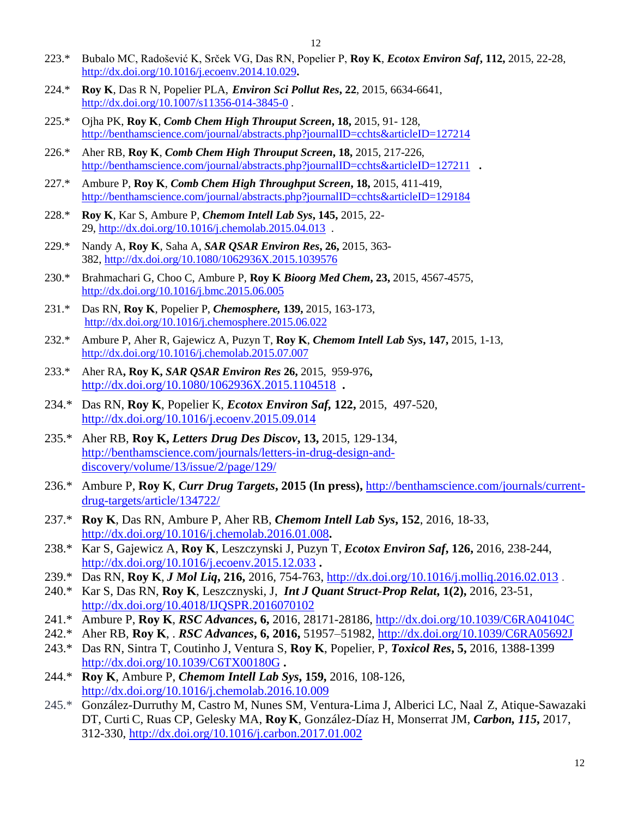- 223.\* Bubalo MC, Radošević K, Srček VG, Das RN, Popelier P, **Roy K**, *Ecotox Environ Saf***, 112,** 2015, 22-28, <http://dx.doi.org/10.1016/j.ecoenv.2014.10.029>**.**
- 224.\* **Roy K**, Das R N, Popelier PLA, *Environ Sci Pollut Res***, 22**, 2015, 6634-6641, <http://dx.doi.org/10.1007/s11356-014-3845-0> .
- 225.\* Ojha PK, **Roy K**, *Comb Chem High Throuput Screen***, 18,** 2015, 91- 128, <http://benthamscience.com/journal/abstracts.php?journalID=cchts&articleID=127214>
- 226.\* Aher RB, **Roy K**, *Comb Chem High Throuput Screen***, 18,** 2015, 217-226, <http://benthamscience.com/journal/abstracts.php?journalID=cchts&articleID=127211> **.**
- 227.\* Ambure P, **Roy K**, *Comb Chem High Throughput Screen***, 18,** 2015, 411-419, <http://benthamscience.com/journal/abstracts.php?journalID=cchts&articleID=129184>
- 228.\* **Roy K**, Kar S, Ambure P, *Chemom Intell Lab Sys***, 145,** 2015, 22- 29, <http://dx.doi.org/10.1016/j.chemolab.2015.04.013> .
- 229.\* Nandy A, **Roy K**, Saha A, *SAR QSAR Environ Res***, 26,** 2015, 363- 382, <http://dx.doi.org/10.1080/1062936X.2015.1039576>
- 230.\* Brahmachari G, Choo C, Ambure P, **Roy K** *Bioorg Med Chem***, 23,** 2015, 4567-4575, <http://dx.doi.org/10.1016/j.bmc.2015.06.005>
- 231.\* Das RN, **Roy K**, Popelier P, *Chemosphere,* **139,** 2015, 163-173, <http://dx.doi.org/10.1016/j.chemosphere.2015.06.022>
- 232.\* Ambure P, Aher R, Gajewicz A, Puzyn T, **Roy K**, *Chemom Intell Lab Sys***, 147,** 2015, 1-13, <http://dx.doi.org/10.1016/j.chemolab.2015.07.007>
- 233.\* Aher RA**, Roy K,** *SAR QSAR Environ Res* **26,** 2015, 959-976**,** <http://dx.doi.org/10.1080/1062936X.2015.1104518> **.**
- 234.\* Das RN, **Roy K**, Popelier K, *Ecotox Environ Saf,* **122,** 2015,497-520, <http://dx.doi.org/10.1016/j.ecoenv.2015.09.014>
- 235.\* Aher RB, **Roy K,** *Letters Drug Des Discov***, 13,** 2015, 129-134, [http://benthamscience.com/journals/letters-in-drug-design-and](http://benthamscience.com/journals/letters-in-drug-design-and-discovery/volume/13/issue/2/page/129/)[discovery/volume/13/issue/2/page/129/](http://benthamscience.com/journals/letters-in-drug-design-and-discovery/volume/13/issue/2/page/129/)
- 236.\* Ambure P, **Roy K**, *Curr Drug Targets***, 2015 (In press),** [http://benthamscience.com/journals/current](http://benthamscience.com/journals/current-drug-targets/article/134722/)[drug-targets/article/134722/](http://benthamscience.com/journals/current-drug-targets/article/134722/)
- 237.\* **Roy K**, Das RN, Ambure P, Aher RB, *Chemom Intell Lab Sys***, 152**, 2016, 18-33, <http://dx.doi.org/10.1016/j.chemolab.2016.01.008>**.**
- 238.\* Kar S, Gajewicz A, **Roy K**, Leszczynski J, Puzyn T, *Ecotox Environ Saf***, 126,** 2016, 238-244, <http://dx.doi.org/10.1016/j.ecoenv.2015.12.033> **.**
- 239.\* Das RN, **Roy K**, *J Mol Liq***, 216,** 2016, 754-763,<http://dx.doi.org/10.1016/j.molliq.2016.02.013> .
- 240.\* Kar S, Das RN, **Roy K**, Leszcznyski, J, *Int J Quant Struct-Prop Relat***, 1(2),** 2016, 23-51, <http://dx.doi.org/10.4018/IJQSPR.2016070102>
- 241.\* Ambure P, **Roy K**, *RSC Advances***, 6,** 2016, 28171-28186, <http://dx.doi.org/10.1039/C6RA04104C>
- 242.\* Aher RB, **Roy K**, . *RSC Advances***, 6, 2016,** 51957–51982,<http://dx.doi.org/10.1039/C6RA05692J>
- 243.\* Das RN, Sintra T, Coutinho J, Ventura S, **Roy K**, Popelier, P, *Toxicol Res***, 5,** 2016, 1388-1399 <http://dx.doi.org/10.1039/C6TX00180G> **.**
- 244.\* **Roy K**, Ambure P, *Chemom Intell Lab Sys***, 159,** 2016, 108-126, <http://dx.doi.org/10.1016/j.chemolab.2016.10.009>
- 245.\* González-Durruthy M, Castro M, Nunes SM, Ventura-Lima J, Alberici LC, Naal Z, Atique-Sawazaki DT, Curti C, Ruas CP, Gelesky MA, **Roy K**, González-Díaz H, Monserrat JM, *Carbon, 115***,** 2017, 312-330,<http://dx.doi.org/10.1016/j.carbon.2017.01.002>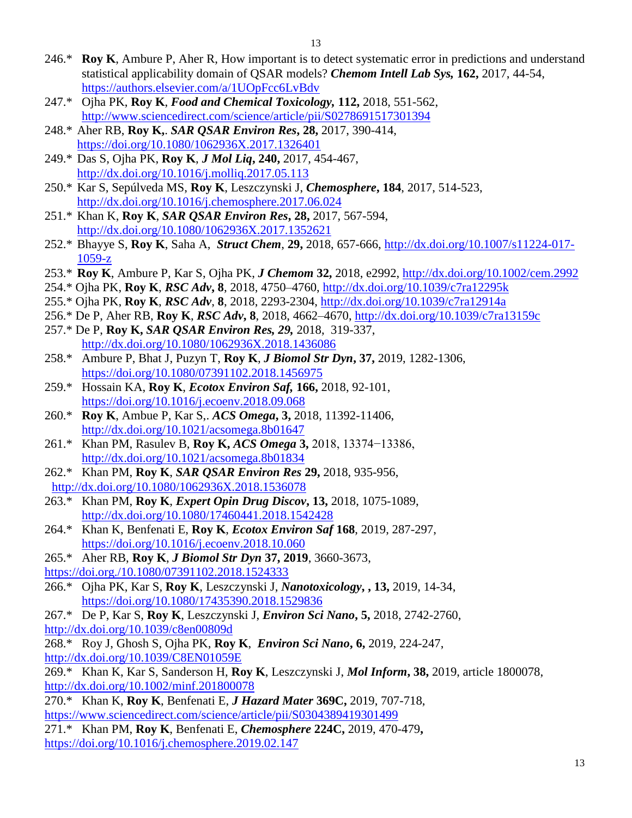- 246.\* **Roy K**, Ambure P, Aher R, How important is to detect systematic error in predictions and understand statistical applicability domain of QSAR models? *Chemom Intell Lab Sys,* **162,** 2017, 44-54, <https://authors.elsevier.com/a/1UOpFcc6LvBdv>
- 247.\* Ojha PK, **Roy K**, *Food and Chemical Toxicology,* **112,** 2018, 551-562, <http://www.sciencedirect.com/science/article/pii/S0278691517301394>
- 248.\* Aher RB, **Roy K,**. *SAR QSAR Environ Res***, 28,** 2017, 390-414, <https://doi.org/10.1080/1062936X.2017.1326401>
- 249.\* Das S, Ojha PK, **Roy K**, *J Mol Liq***, 240,** 2017, 454-467, <http://dx.doi.org/10.1016/j.molliq.2017.05.113>
- 250.\* Kar S, Sepúlveda MS, **Roy K**, Leszczynski J, *Chemosphere***, 184**, 2017, 514-523, <http://dx.doi.org/10.1016/j.chemosphere.2017.06.024>
- 251.\* Khan K, **Roy K**, *SAR QSAR Environ Res***, 28,** 2017, 567-594, <http://dx.doi.org/10.1080/1062936X.2017.1352621>
- 252.\* Bhayye S, **Roy K**, Saha A, *Struct Chem*, **29,** 2018, 657-666, [http://dx.doi.org/10.1007/s11224-017-](http://dx.doi.org/10.1007/s11224-017-1059-z) [1059-z](http://dx.doi.org/10.1007/s11224-017-1059-z)
- 253.\* **Roy K**, Ambure P, Kar S, Ojha PK, *J Chemom* **32,** 2018, e2992, <http://dx.doi.org/10.1002/cem.2992>
- 254.\* Ojha PK, **Roy K**, *RSC Adv***, 8**, 2018, 4750–4760,<http://dx.doi.org/10.1039/c7ra12295k>
- 255.\* Ojha PK, **Roy K**, *RSC Adv*, **8**, 2018, 2293-2304,<http://dx.doi.org/10.1039/c7ra12914a>
- 256.\* De P, Aher RB, **Roy K**, *RSC Adv***, 8**, 2018, 4662–4670,<http://dx.doi.org/10.1039/c7ra13159c>
- 257.\* De P, **Roy K,** *SAR QSAR Environ Res, 29,* 2018, 319-337, <http://dx.doi.org/10.1080/1062936X.2018.1436086>
- 258.\* Ambure P, Bhat J, Puzyn T, **Roy K**, *J Biomol Str Dyn***, 37,** 2019, 1282-1306, <https://doi.org/10.1080/07391102.2018.1456975>
- 259.\* Hossain KA, **Roy K**, *Ecotox Environ Saf,* **166,** 2018, 92-101, <https://doi.org/10.1016/j.ecoenv.2018.09.068>
- 260.\* **Roy K**, Ambue P, Kar S,. *ACS Omega***, 3,** 2018, 11392-11406, <http://dx.doi.org/10.1021/acsomega.8b01647>
- 261.\* Khan PM, Rasulev B, **Roy K,** *ACS Omega* **3,** 2018, 13374−13386, <http://dx.doi.org/10.1021/acsomega.8b01834>
- 262.\* Khan PM, **Roy K**, *SAR QSAR Environ Res* **29,** 2018, 935-956, <http://dx.doi.org/10.1080/1062936X.2018.1536078>
- 263.\* Khan PM, **Roy K**, *Expert Opin Drug Discov***, 13,** 2018, 1075-1089, <http://dx.doi.org/10.1080/17460441.2018.1542428>
- 264.\* Khan K, Benfenati E, **Roy K**, *Ecotox Environ Saf* **168**, 2019, 287-297, <https://doi.org/10.1016/j.ecoenv.2018.10.060>
- 265.\* Aher RB, **Roy K**, *J Biomol Str Dyn* **37, 2019**, 3660-3673, <https://doi.org./10.1080/07391102.2018.1524333>
- 266.\* Ojha PK, Kar S, **Roy K**, Leszczynski J, *Nanotoxicology***, , 13,** 2019, 14-34, <https://doi.org/10.1080/17435390.2018.1529836>
- 267.\* De P, Kar S, **Roy K**, Leszczynski J, *Environ Sci Nano***, 5,** 2018, 2742-2760,
- <http://dx.doi.org/10.1039/c8en00809d>
- 268.\* Roy J, Ghosh S, Ojha PK, **Roy K**, *Environ Sci Nano***, 6,** 2019, 224-247, <http://dx.doi.org/10.1039/C8EN01059E>
- 269.\* Khan K, Kar S, Sanderson H, **Roy K**, Leszczynski J, *Mol Inform***, 38,** 2019, article 1800078, <http://dx.doi.org/10.1002/minf.201800078>
- 270.\* Khan K, **Roy K**, Benfenati E, *J Hazard Mater* **369C,** 2019, 707-718, <https://www.sciencedirect.com/science/article/pii/S0304389419301499>
- 271.\* Khan PM, **Roy K**, Benfenati E, *Chemosphere* **224C,** 2019, 470-479**,** <https://doi.org/10.1016/j.chemosphere.2019.02.147>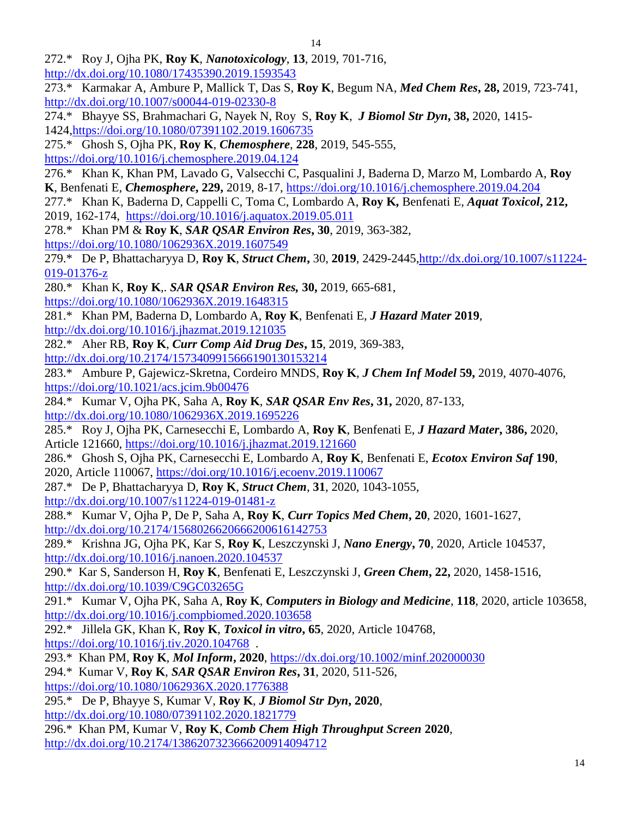- 272.\* Roy J, Ojha PK, **Roy K**, *Nanotoxicology*, **13**, 2019, 701-716,
- <http://dx.doi.org/10.1080/17435390.2019.1593543>
- 273.\* Karmakar A, Ambure P, Mallick T, Das S, **Roy K**, Begum NA, *Med Chem Res***, 28,** 2019, 723-741, <http://dx.doi.org/10.1007/s00044-019-02330-8>
- 274.\* Bhayye SS, Brahmachari G, Nayek N, Roy S, **Roy K**, *J Biomol Str Dyn***, 38,** 2020, 1415- 1424[,https://doi.org/10.1080/07391102.2019.1606735](https://doi.org/10.1080/07391102.2019.1606735)
- 275.\* Ghosh S, Ojha PK, **Roy K**, *Chemosphere*, **228**, 2019, 545-555,

<https://doi.org/10.1016/j.chemosphere.2019.04.124>

- 276.\* Khan K, Khan PM, Lavado G, Valsecchi C, Pasqualini J, Baderna D, Marzo M, Lombardo A, **Roy K**, Benfenati E, *Chemosphere***, 229,** 2019, 8-17,<https://doi.org/10.1016/j.chemosphere.2019.04.204>
- 277.\* Khan K, Baderna D, Cappelli C, Toma C, Lombardo A, **Roy K,** Benfenati E, *Aquat Toxicol***, 212,**  2019, 162-174, <https://doi.org/10.1016/j.aquatox.2019.05.011>
- 278.\* Khan PM & **Roy K**, *SAR QSAR Environ Res***, 30**, 2019, 363-382, <https://doi.org/10.1080/1062936X.2019.1607549>

279.\* De P, Bhattacharyya D, **Roy K**, *Struct Chem***,** 30, **2019**, 2429-2445[,http://dx.doi.org/10.1007/s11224-](http://dx.doi.org/10.1007/s11224-019-01376-z) [019-01376-z](http://dx.doi.org/10.1007/s11224-019-01376-z)

- 280.\* Khan K, **Roy K**,. *SAR QSAR Environ Res,* **30,** 2019, 665-681,
- <https://doi.org/10.1080/1062936X.2019.1648315>
- 281.\* Khan PM, Baderna D, Lombardo A, **Roy K**, Benfenati E, *J Hazard Mater* **2019**, <http://dx.doi.org/10.1016/j.jhazmat.2019.121035>
- 282.\* Aher RB, **Roy K**, *Curr Comp Aid Drug Des***, 15**, 2019, 369-383,
- [http://dx.doi.org/10.2174/1573409915666190130153214](http://www.google.com/url?q=http%3A%2F%2Fdx.doi.org%2F10.2174%2F1573409915666190130153214&sa=D&sntz=1&usg=AFQjCNG-bpXpVhdo-psqHL0Eu53MpKsswQ)
- 283.\* Ambure P, Gajewicz-Skretna, Cordeiro MNDS, **Roy K**, *J Chem Inf Model* **59,** 2019, 4070-4076, [https://doi.org/10.1021/acs.jcim.9b00476](https://www.google.com/url?q=https%3A%2F%2Fdoi.org%2F10.1021%2Facs.jcim.9b00476&sa=D&sntz=1&usg=AFQjCNFQqbsz_UwX1JE7kIg6U1kdP7HMjw)
- 284.\* Kumar V, Ojha PK, Saha A, **Roy K**, *SAR QSAR Env Res***, 31,** 2020, 87-133, [http://dx.doi.org/10.1080/1062936X.2019.1695226](http://www.google.com/url?q=http%3A%2F%2Fdx.doi.org%2F10.1080%2F1062936X.2019.1695226&sa=D&sntz=1&usg=AFQjCNFvbWWc2CILNIsRY7Q8IhxQIS2v-g)
- 285.\* Roy J, Ojha PK, Carnesecchi E, Lombardo A, **Roy K**, Benfenati E, *J Hazard Mater***, 386,** 2020, Article 121660, [https://doi.org/10.1016/j.jhazmat.2019.121660](https://www.google.com/url?q=https%3A%2F%2Fdoi.org%2F10.1016%2Fj.jhazmat.2019.121660&sa=D&sntz=1&usg=AFQjCNGOl4OoVh3YD7yNEGJa3G6y-R-DXg)
- 286.\* Ghosh S, Ojha PK, Carnesecchi E, Lombardo A, **Roy K**, Benfenati E, *Ecotox Environ Saf* **190**, 2020, Article 110067, [https://doi.org/10.1016/j.ecoenv.2019.110067](https://www.google.com/url?q=https%3A%2F%2Fdoi.org%2F10.1016%2Fj.ecoenv.2019.110067&sa=D&sntz=1&usg=AFQjCNFNjAmp9XtZ3bEtJ6md16Aq3lzs-w)
- 287.\* De P, Bhattacharyya D, **Roy K**, *Struct Chem*, **31**, 2020, 1043-1055, [http://dx.doi.org/10.1007/s11224-019-01481-z](http://www.google.com/url?q=http%3A%2F%2Fdx.doi.org%2F10.1007%2Fs11224-019-01481-z&sa=D&sntz=1&usg=AFQjCNE9AcnUpt6E-rQzgtqTtk-LYywMgA)
- 288.\* Kumar V, Ojha P, De P, Saha A, **Roy K**, *Curr Topics Med Chem***, 20**, 2020, 1601-1627, <http://dx.doi.org/10.2174/1568026620666200616142753>
- 289.\* Krishna JG, Ojha PK, Kar S, **Roy K**, Leszczynski J, *Nano Energy***, 70**, 2020, Article 104537, [http://dx.doi.org/10.1016/j.nanoen.2020.104537](http://www.google.com/url?q=http%3A%2F%2Fdx.doi.org%2F10.1016%2Fj.nanoen.2020.104537&sa=D&sntz=1&usg=AFQjCNENp6TI_OTVGy03Q64F1fLyNYT8zQ)
- 290.\* Kar S, Sanderson H, **Roy K**, Benfenati E, Leszczynski J, *Green Chem***, 22,** 2020, 1458-1516, [http://dx.doi.org/10.1039/C9GC03265G](http://www.google.com/url?q=http%3A%2F%2Fdx.doi.org%2F10.1039%2FC9GC03265G&sa=D&sntz=1&usg=AFQjCNEl5pYl3YbMQ6m0e1JQLu0YiqH4Dw)
- 291.\* Kumar V, Ojha PK, Saha A, **Roy K**, *Computers in Biology and Medicine*, **118**, 2020, article 103658, [http://dx.doi.org/10.1016/j.compbiomed.2020.103658](http://www.google.com/url?q=http%3A%2F%2Fdx.doi.org%2F10.1016%2Fj.compbiomed.2020.103658&sa=D&sntz=1&usg=AFQjCNFGhHlfG_CjwWt1wrS-2uToowIfJA)
- 292.\* Jillela GK, Khan K, **Roy K**, *Toxicol in vitro***, 65**, 2020, Article 104768, <https://doi.org/10.1016/j.tiv.2020.104768>.
- 293.\* Khan PM, **Roy K**, *Mol Inform***, 2020**,<https://dx.doi.org/10.1002/minf.202000030>
- 294.\* Kumar V, **Roy K**, *SAR QSAR Environ Res***, 31**, 2020, 511-526, <https://doi.org/10.1080/1062936X.2020.1776388>
- 295.\* De P, Bhayye S, Kumar V, **Roy K**, *J Biomol Str Dyn***, 2020**, <http://dx.doi.org/10.1080/07391102.2020.1821779>
- 296.\* Khan PM, Kumar V, **Roy K**, *Comb Chem High Throughput Screen* **2020**, <http://dx.doi.org/10.2174/1386207323666200914094712>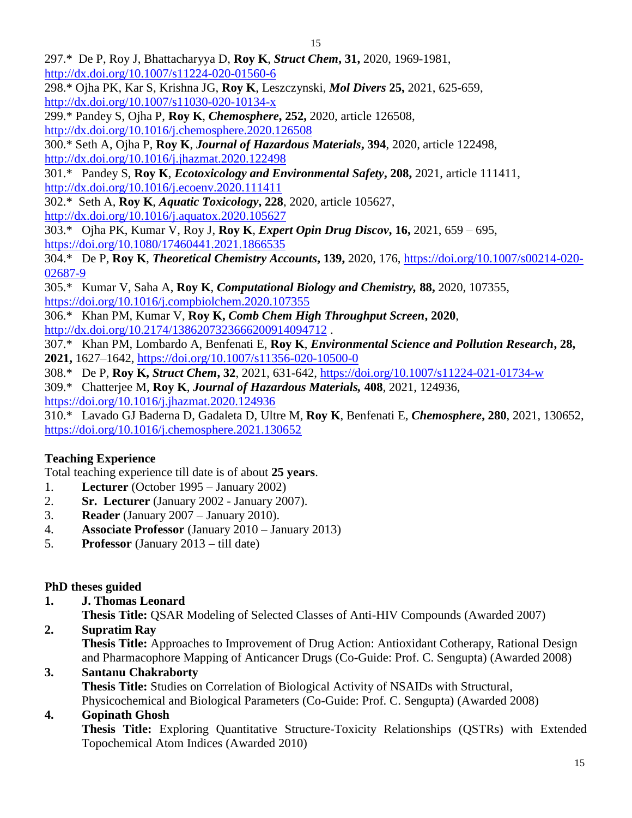297.\* De P, Roy J, Bhattacharyya D, **Roy K**, *Struct Chem***, 31,** 2020, 1969-1981, <http://dx.doi.org/10.1007/s11224-020-01560-6>

298.\* Ojha PK, Kar S, Krishna JG, **Roy K**, Leszczynski, *Mol Divers* **25,** 2021, 625-659, <http://dx.doi.org/10.1007/s11030-020-10134-x>

299.\* Pandey S, Ojha P, **Roy K**, *Chemosphere***, 252,** 2020, article 126508,

<http://dx.doi.org/10.1016/j.chemosphere.2020.126508>

300.\* Seth A, Ojha P, **Roy K**, *Journal of Hazardous Materials***, 394**, 2020, article 122498, <http://dx.doi.org/10.1016/j.jhazmat.2020.122498>

301.\* Pandey S, **Roy K**, *Ecotoxicology and Environmental Safety***, 208,** 2021, article 111411, <http://dx.doi.org/10.1016/j.ecoenv.2020.111411>

302.\* Seth A, **Roy K**, *Aquatic Toxicology***, 228**, 2020, article 105627, <http://dx.doi.org/10.1016/j.aquatox.2020.105627>

303.\* Ojha PK, Kumar V, Roy J, **Roy K**, *Expert Opin Drug Discov***, 16,** 2021, 659 – 695, <https://doi.org/10.1080/17460441.2021.1866535>

304.\* De P, **Roy K**, *Theoretical Chemistry Accounts***, 139,** 2020, 176, [https://doi.org/10.1007/s00214-020-](https://doi.org/10.1007/s00214-020-02687-9) [02687-9](https://doi.org/10.1007/s00214-020-02687-9)

305.\* Kumar V, Saha A, **Roy K**, *Computational Biology and Chemistry,* **88,** 2020, 107355, <https://doi.org/10.1016/j.compbiolchem.2020.107355>

306.\* Khan PM, Kumar V, **Roy K,** *Comb Chem High Throughput Screen***, 2020**, <http://dx.doi.org/10.2174/1386207323666200914094712>.

307.\* Khan PM, Lombardo A, Benfenati E, **Roy K**, *Environmental Science and Pollution Research***, 28, 2021,** 1627–1642,<https://doi.org/10.1007/s11356-020-10500-0>

308.\* De P, **Roy K,** *Struct Chem***, 32**, 2021, 631-642,<https://doi.org/10.1007/s11224-021-01734-w>

309.\* Chatterjee M, **Roy K**, *Journal of Hazardous Materials,* **408**, 2021, 124936, <https://doi.org/10.1016/j.jhazmat.2020.124936>

310.\* Lavado GJ Baderna D, Gadaleta D, Ultre M, **Roy K**, Benfenati E, *Chemosphere***, 280**, 2021, 130652, <https://doi.org/10.1016/j.chemosphere.2021.130652>

# **Teaching Experience**

Total teaching experience till date is of about **25 years**.

- 1. **Lecturer** (October 1995 January 2002)
- 2. **Sr. Lecturer** (January 2002 January 2007).
- 3. **Reader** (January 2007 January 2010).
- 4. **Associate Professor** (January 2010 January 2013)
- 5. **Professor** (January 2013 till date)

## **PhD theses guided**

**1. J. Thomas Leonard**

**Thesis Title:** QSAR Modeling of Selected Classes of Anti-HIV Compounds (Awarded 2007)

**2. Supratim Ray**

**Thesis Title:** Approaches to Improvement of Drug Action: Antioxidant Cotherapy, Rational Design and Pharmacophore Mapping of Anticancer Drugs (Co-Guide: Prof. C. Sengupta) (Awarded 2008)

## **3. Santanu Chakraborty**

**Thesis Title:** Studies on Correlation of Biological Activity of NSAIDs with Structural,

Physicochemical and Biological Parameters (Co-Guide: Prof. C. Sengupta) (Awarded 2008) **4. Gopinath Ghosh**

**Thesis Title:** Exploring Quantitative Structure-Toxicity Relationships (QSTRs) with Extended Topochemical Atom Indices (Awarded 2010)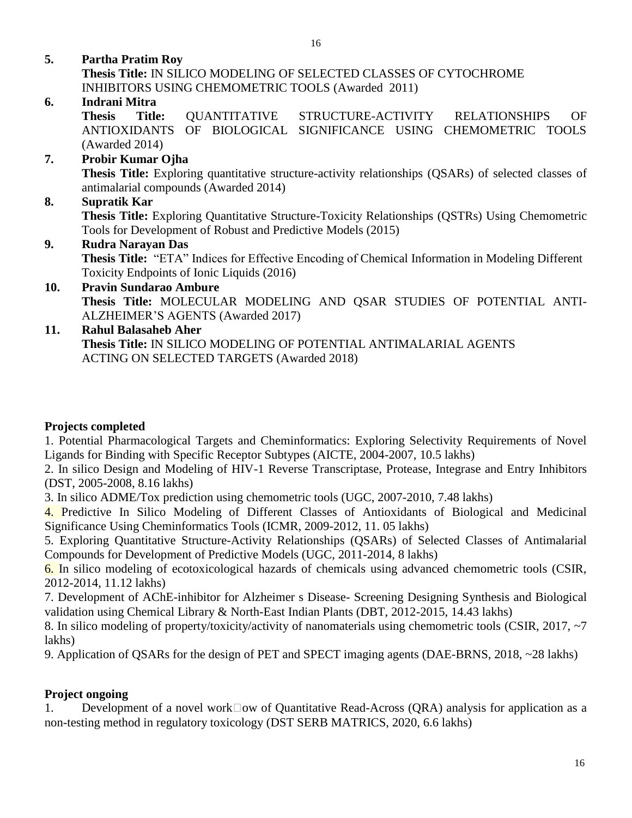**5. Partha Pratim Roy**

**Thesis Title:** IN SILICO MODELING OF SELECTED CLASSES OF CYTOCHROME INHIBITORS USING CHEMOMETRIC TOOLS (Awarded 2011)

### **6. Indrani Mitra**

**Thesis Title:** QUANTITATIVE STRUCTURE-ACTIVITY RELATIONSHIPS OF ANTIOXIDANTS OF BIOLOGICAL SIGNIFICANCE USING CHEMOMETRIC TOOLS (Awarded 2014)

### **7. Probir Kumar Ojha**

**Thesis Title:** Exploring quantitative structure-activity relationships (QSARs) of selected classes of antimalarial compounds (Awarded 2014)

### **8. Supratik Kar**

**Thesis Title:** Exploring Quantitative Structure-Toxicity Relationships (QSTRs) Using Chemometric Tools for Development of Robust and Predictive Models (2015)

#### **9. Rudra Narayan Das**

**Thesis Title:** "ETA" Indices for Effective Encoding of Chemical Information in Modeling Different Toxicity Endpoints of Ionic Liquids (2016)

**10. Pravin Sundarao Ambure Thesis Title:** MOLECULAR MODELING AND QSAR STUDIES OF POTENTIAL ANTI-ALZHEIMER'S AGENTS (Awarded 2017)

#### **11. Rahul Balasaheb Aher Thesis Title:** IN SILICO MODELING OF POTENTIAL ANTIMALARIAL AGENTS ACTING ON SELECTED TARGETS (Awarded 2018)

#### **Projects completed**

1. Potential Pharmacological Targets and Cheminformatics: Exploring Selectivity Requirements of Novel Ligands for Binding with Specific Receptor Subtypes (AICTE, 2004-2007, 10.5 lakhs)

2. In silico Design and Modeling of HIV-1 Reverse Transcriptase, Protease, Integrase and Entry Inhibitors (DST, 2005-2008, 8.16 lakhs)

3. In silico ADME/Tox prediction using chemometric tools (UGC, 2007-2010, 7.48 lakhs)

4. Predictive In Silico Modeling of Different Classes of Antioxidants of Biological and Medicinal Significance Using Cheminformatics Tools (ICMR, 2009-2012, 11. 05 lakhs)

5. Exploring Quantitative Structure-Activity Relationships (QSARs) of Selected Classes of Antimalarial Compounds for Development of Predictive Models (UGC, 2011-2014, 8 lakhs)

6. In silico modeling of ecotoxicological hazards of chemicals using advanced chemometric tools (CSIR, 2012-2014, 11.12 lakhs)

7. Development of AChE-inhibitor for Alzheimer s Disease- Screening Designing Synthesis and Biological validation using Chemical Library & North-East Indian Plants (DBT, 2012-2015, 14.43 lakhs)

8. In silico modeling of property/toxicity/activity of nanomaterials using chemometric tools (CSIR, 2017, ~7 lakhs)

9. Application of QSARs for the design of PET and SPECT imaging agents (DAE-BRNS, 2018, ~28 lakhs)

## **Project ongoing**

1. Development of a novel work $\Box$ ow of Quantitative Read-Across (QRA) analysis for application as a non-testing method in regulatory toxicology (DST SERB MATRICS, 2020, 6.6 lakhs)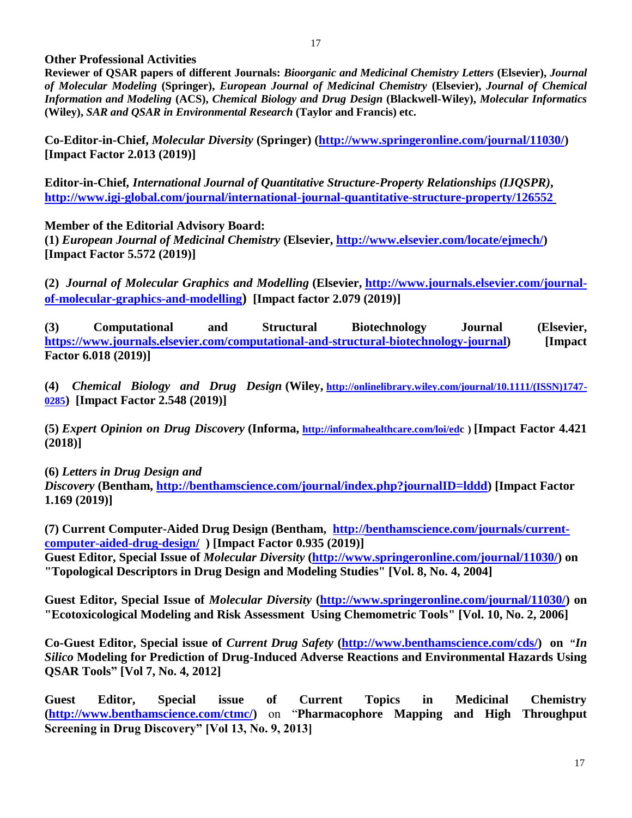#### **Other Professional Activities**

**Reviewer of QSAR papers of different Journals:** *Bioorganic and Medicinal Chemistry Letters* **(Elsevier),** *Journal of Molecular Modeling* **(Springer),** *European Journal of Medicinal Chemistry* **(Elsevier),** *Journal of Chemical Information and Modeling* **(ACS),** *Chemical Biology and Drug Design* **(Blackwell-Wiley),** *Molecular Informatics* **(Wiley),** *SAR and QSAR in Environmental Research* **(Taylor and Francis) etc.**

**Co-Editor-in-Chief,** *Molecular Diversity* **(Springer) [\(http://www.springeronline.com/journal/11030/\)](http://www.springeronline.com/journal/11030/) [Impact Factor 2.013 (2019)]**

**Editor-in-Chief***, International Journal of Quantitative Structure-Property Relationships (IJQSPR)***, <http://www.igi-global.com/journal/international-journal-quantitative-structure-property/126552>**

**Member of the Editorial Advisory Board:**

**(1)** *European Journal of Medicinal Chemistry* **(Elsevier, [http://www.elsevier.com/locate/ejmech/\)](http://www.elsevier.com/locate/ejmech/) [Impact Factor 5.572 (2019)]**

**(2)** *Journal of Molecular Graphics and Modelling* **(Elsevier, [http://www.journals.elsevier.com/journal](http://www.journals.elsevier.com/journal-of-molecular-graphics-and-modelling)[of-molecular-graphics-and-modelling](http://www.journals.elsevier.com/journal-of-molecular-graphics-and-modelling)) [Impact factor 2.079 (2019)]**

**(3) Computational and Structural Biotechnology Journal (Elsevier, [https://www.journals.elsevier.com/computational-and-structural-biotechnology-journal\)](https://www.journals.elsevier.com/computational-and-structural-biotechnology-journal) [Impact Factor 6.018 (2019)]** 

**(4)** *Chemical Biology and Drug Design* **(Wiley, [http://onlinelibrary.wiley.com/journal/10.1111/\(ISSN\)1747-](http://onlinelibrary.wiley.com/journal/10.1111/(ISSN)1747-0285) [0285](http://onlinelibrary.wiley.com/journal/10.1111/(ISSN)1747-0285)) [Impact Factor 2.548 (2019)]**

**(5)** *Expert Opinion on Drug Discovery* **(Informa, <http://informahealthcare.com/loi/edc> ) [Impact Factor 4.421 (2018)]**

**(6)** *Letters in Drug Design and* 

*Discovery* **(Bentham, [http://benthamscience.com/journal/index.php?journalID=lddd\)](http://benthamscience.com/journal/index.php?journalID=lddd) [Impact Factor 1.169 (2019)]**

**(7) Current Computer-Aided Drug Design (Bentham, [http://benthamscience.com/journals/current](http://benthamscience.com/journals/current-computer-aided-drug-design/)[computer-aided-drug-design/](http://benthamscience.com/journals/current-computer-aided-drug-design/) ) [Impact Factor 0.935 (2019)]**

**Guest Editor, Special Issue of** *Molecular Diversity* **[\(http://www.springeronline.com/journal/11030/\)](http://www.springeronline.com/journal/11030/) on "Topological Descriptors in Drug Design and Modeling Studies" [Vol. 8, No. 4, 2004]**

**Guest Editor, Special Issue of** *Molecular Diversity* **[\(http://www.springeronline.com/journal/11030/\)](http://www.springeronline.com/journal/11030/) on "Ecotoxicological Modeling and Risk Assessment Using Chemometric Tools" [Vol. 10, No. 2, 2006]**

**Co-Guest Editor, Special issue of** *Current Drug Safety* **[\(http://www.benthamscience.com/cds/\)](http://www.benthamscience.com/cds/) on "***In Silico* **Modeling for Prediction of Drug-Induced Adverse Reactions and Environmental Hazards Using QSAR Tools" [Vol 7, No. 4, 2012]**

**Guest Editor, Special issue of Current Topics in Medicinal Chemistry [\(http://www.benthamscience.com/ctmc/\)](http://www.benthamscience.com/ctmc/)** on "**Pharmacophore Mapping and High Throughput Screening in Drug Discovery" [Vol 13, No. 9, 2013]**